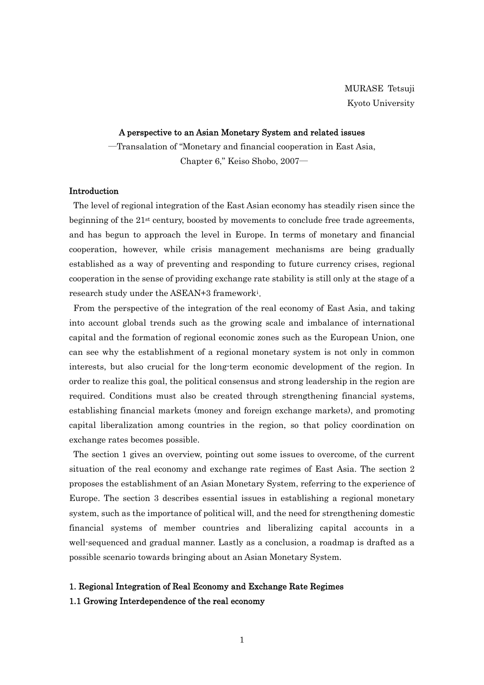#### A perspective to an Asian Monetary System and related issues

―Transalation of "Monetary and financial cooperation in East Asia, Chapter 6," Keiso Shobo, 2007―

## Introduction

The level of regional integration of the East Asian economy has steadily risen since the beginning of the 21st century, boosted by movements to conclude free trade agreements, and has begun to approach the level in Europe. In terms of monetary and financial cooperation, however, while crisis management mechanisms are being gradually established as a way of preventing and responding to future currency crises, regional cooperation in the sense of providing exchange rate stability is still only at the stage of a research study under the ASEAN+3 framework[i](#page-44-0).

From the perspective of the integration of the real economy of East Asia, and taking into account global trends such as the growing scale and imbalance of international capital and the formation of regional economic zones such as the European Union, one can see why the establishment of a regional monetary system is not only in common interests, but also crucial for the long-term economic development of the region. In order to realize this goal, the political consensus and strong leadership in the region are required. Conditions must also be created through strengthening financial systems, establishing financial markets (money and foreign exchange markets), and promoting capital liberalization among countries in the region, so that policy coordination on exchange rates becomes possible.

The section 1 gives an overview, pointing out some issues to overcome, of the current situation of the real economy and exchange rate regimes of East Asia. The section 2 proposes the establishment of an Asian Monetary System, referring to the experience of Europe. The section 3 describes essential issues in establishing a regional monetary system, such as the importance of political will, and the need for strengthening domestic financial systems of member countries and liberalizing capital accounts in a well-sequenced and gradual manner. Lastly as a conclusion, a roadmap is drafted as a possible scenario towards bringing about an Asian Monetary System.

# 1. Regional Integration of Real Economy and Exchange Rate Regimes 1.1 Growing Interdependence of the real economy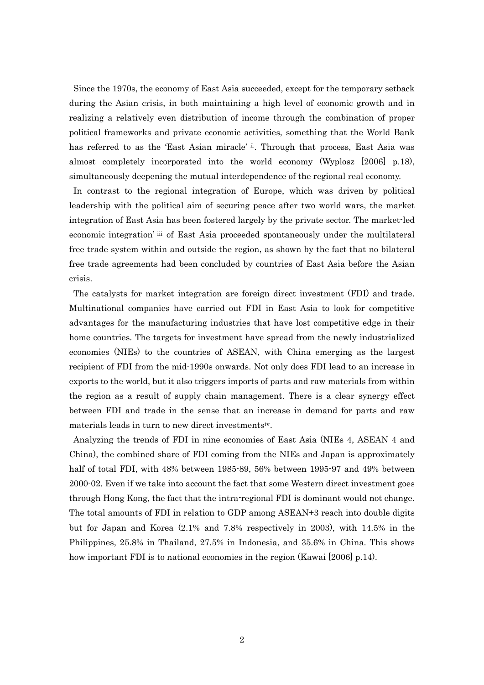Since the 1970s, the economy of East Asia succeeded, except for the temporary setback during the Asian crisis, in both maintaining a high level of economic growth and in realizing a relatively even distribution of income through the combination of proper political frameworks and private economic activities, something that the World Bank has referred to as the 'East Asian miracle' <sup>[ii](#page-44-1)</sup>. Through that process, East Asia was almost completely incorporated into the world economy (Wyplosz [2006] p.18), simultaneously deepening the mutual interdependence of the regional real economy.

In contrast to the regional integration of Europe, which was driven by political leadership with the political aim of securing peace after two world wars, the market integration of East Asia has been fostered largely by the private sector. The market-led economic integration' [iii](#page-44-1) of East Asia proceeded spontaneously under the multilateral free trade system within and outside the region, as shown by the fact that no bilateral free trade agreements had been concluded by countries of East Asia before the Asian crisis.

The catalysts for market integration are foreign direct investment (FDI) and trade. Multinational companies have carried out FDI in East Asia to look for competitive advantages for the manufacturing industries that have lost competitive edge in their home countries. The targets for investment have spread from the newly industrialized economies (NIEs) to the countries of ASEAN, with China emerging as the largest recipient of FDI from the mid-1990s onwards. Not only does FDI lead to an increase in exports to the world, but it also triggers imports of parts and raw materials from within the region as a result of supply chain management. There is a clear synergy effect between FDI and trade in the sense that an increase in demand for parts and raw materials leads in turn to new direct investments[iv](#page-44-1).

Analyzing the trends of FDI in nine economies of East Asia (NIEs 4, ASEAN 4 and China), the combined share of FDI coming from the NIEs and Japan is approximately half of total FDI, with 48% between 1985-89, 56% between 1995-97 and 49% between 2000-02. Even if we take into account the fact that some Western direct investment goes through Hong Kong, the fact that the intra-regional FDI is dominant would not change. The total amounts of FDI in relation to GDP among ASEAN+3 reach into double digits but for Japan and Korea (2.1% and 7.8% respectively in 2003), with 14.5% in the Philippines, 25.8% in Thailand, 27.5% in Indonesia, and 35.6% in China. This shows how important FDI is to national economies in the region (Kawai [2006] p.14).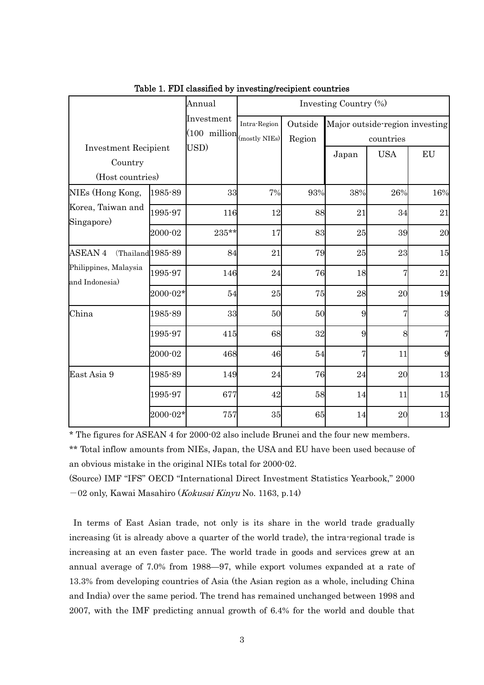|                                                            |                      | Annual                                                    |              |                   | Investing Country (%)                       |            |                |
|------------------------------------------------------------|----------------------|-----------------------------------------------------------|--------------|-------------------|---------------------------------------------|------------|----------------|
| <b>Investment Recipient</b><br>Country<br>(Host countries) |                      | Investment<br>$(100 \text{ million}  _{(mostly \ NIEs)})$ | Intra-Region | Outside<br>Region | Major outside-region investing<br>countries |            |                |
|                                                            |                      | USD)                                                      |              |                   | Japan                                       | <b>USA</b> | EU             |
| NIEs (Hong Kong,                                           | 1985-89              | 33                                                        | 7%           | 93%               | 38%                                         | 26%        | 16%            |
| Korea, Taiwan and<br>Singapore)                            | 1995-97              | 116                                                       | 12           | 88                | 21                                          | 34         | 21             |
|                                                            | 2000-02              | 235**                                                     | 17           | 83                | 25                                          | 39         | 20             |
| <b>ASEAN 4</b>                                             | $(Thailand 1985-89)$ | 84                                                        | 21           | 79                | 25                                          | 23         | 15             |
| Philippines, Malaysia<br>and Indonesia)                    | 1995-97              | 146                                                       | 24           | 76                | 18                                          | 7          | 21             |
|                                                            | $2000 - 02*$         | 54                                                        | 25           | 75                | 28                                          | 20         | 19             |
| China                                                      | 1985-89              | 33                                                        | 50           | 50                | 9                                           |            | 3              |
|                                                            | 1995-97              | 415                                                       | 68           | 32                | 9                                           | 8          | $\overline{7}$ |
|                                                            | 2000-02              | 468                                                       | 46           | 54                | $\overline{7}$                              | 11         | 9              |
| East Asia 9                                                | 1985-89              | 149                                                       | 24           | 76                | 24                                          | 20         | 13             |
|                                                            | 1995-97              | 677                                                       | 42           | 58                | 14                                          | 11         | 15             |
|                                                            | $2000 - 02*$         | 757                                                       | 35           | 65                | 14                                          | 20         | 13             |

Table 1. FDI classified by investing/recipient countries

\* The figures for ASEAN 4 for 2000-02 also include Brunei and the four new members. \*\* Total inflow amounts from NIEs, Japan, the USA and EU have been used because of an obvious mistake in the original NIEs total for 2000-02.

(Source) IMF "IFS" OECD "International Direct Investment Statistics Yearbook," 2000 -02 only, Kawai Masahiro (Kokusai Kinyu No. 1163, p.14)

In terms of East Asian trade, not only is its share in the world trade gradually increasing (it is already above a quarter of the world trade), the intra-regional trade is increasing at an even faster pace. The world trade in goods and services grew at an annual average of 7.0% from 1988—97, while export volumes expanded at a rate of 13.3% from developing countries of Asia (the Asian region as a whole, including China and India) over the same period. The trend has remained unchanged between 1998 and 2007, with the IMF predicting annual growth of 6.4% for the world and double that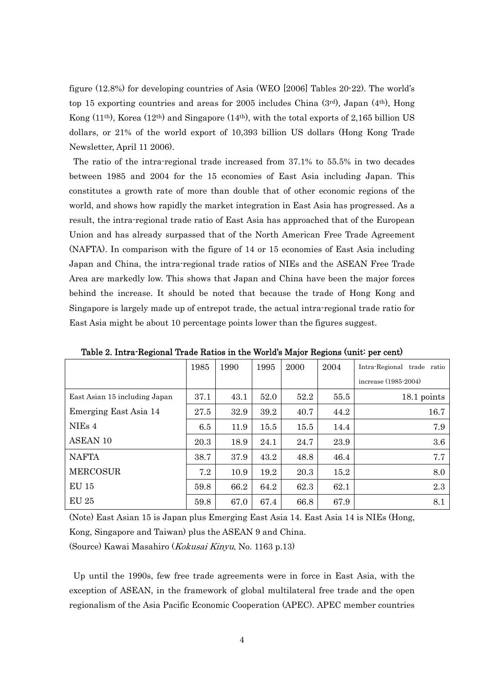figure (12.8%) for developing countries of Asia (WEO [2006] Tables 20-22). The world's top 15 exporting countries and areas for 2005 includes China (3rd), Japan (4th), Hong Kong (11th), Korea (12th) and Singapore (14th), with the total exports of 2,165 billion US dollars, or 21% of the world export of 10,393 billion US dollars (Hong Kong Trade Newsletter, April 11 2006).

The ratio of the intra-regional trade increased from 37.1% to 55.5% in two decades between 1985 and 2004 for the 15 economies of East Asia including Japan. This constitutes a growth rate of more than double that of other economic regions of the world, and shows how rapidly the market integration in East Asia has progressed. As a result, the intra-regional trade ratio of East Asia has approached that of the European Union and has already surpassed that of the North American Free Trade Agreement (NAFTA). In comparison with the figure of 14 or 15 economies of East Asia including Japan and China, the intra-regional trade ratios of NIEs and the ASEAN Free Trade Area are markedly low. This shows that Japan and China have been the major forces behind the increase. It should be noted that because the trade of Hong Kong and Singapore is largely made up of entrepot trade, the actual intra-regional trade ratio for East Asia might be about 10 percentage points lower than the figures suggest.

|                               | 1985 | 1990 | 1995 | 2000 | 2004 | Intra-Regional trade ratio |
|-------------------------------|------|------|------|------|------|----------------------------|
|                               |      |      |      |      |      | increase (1985-2004)       |
| East Asian 15 including Japan | 37.1 | 43.1 | 52.0 | 52.2 | 55.5 | 18.1 points                |
| Emerging East Asia 14         | 27.5 | 32.9 | 39.2 | 40.7 | 44.2 | 16.7                       |
| NIEs 4                        | 6.5  | 11.9 | 15.5 | 15.5 | 14.4 | 7.9                        |
| <b>ASEAN 10</b>               | 20.3 | 18.9 | 24.1 | 24.7 | 23.9 | 3.6                        |
| <b>NAFTA</b>                  | 38.7 | 37.9 | 43.2 | 48.8 | 46.4 | 7.7                        |
| <b>MERCOSUR</b>               | 7.2  | 10.9 | 19.2 | 20.3 | 15.2 | 8.0                        |
| <b>EU 15</b>                  | 59.8 | 66.2 | 64.2 | 62.3 | 62.1 | 2.3                        |
| <b>EU 25</b>                  | 59.8 | 67.0 | 67.4 | 66.8 | 67.9 | 8.1                        |

Table 2. Intra-Regional Trade Ratios in the World's Major Regions (unit: per cent)

(Note) East Asian 15 is Japan plus Emerging East Asia 14. East Asia 14 is NIEs (Hong, Kong, Singapore and Taiwan) plus the ASEAN 9 and China.

(Source) Kawai Masahiro (Kokusai Kinyu, No. 1163 p.13)

Up until the 1990s, few free trade agreements were in force in East Asia, with the exception of ASEAN, in the framework of global multilateral free trade and the open regionalism of the Asia Pacific Economic Cooperation (APEC). APEC member countries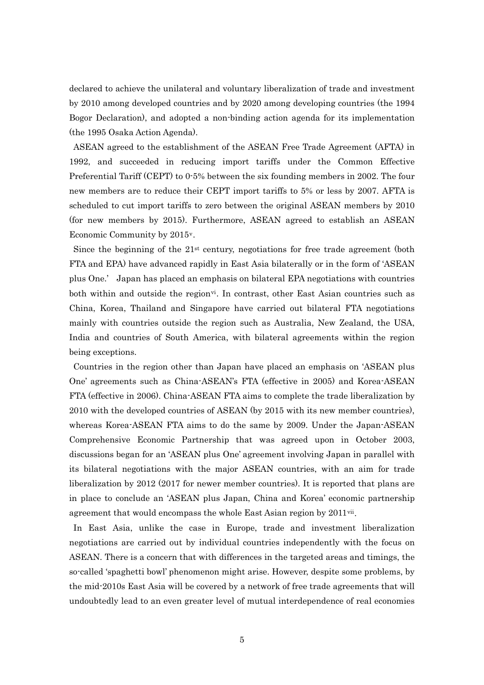declared to achieve the unilateral and voluntary liberalization of trade and investment by 2010 among developed countries and by 2020 among developing countries (the 1994 Bogor Declaration), and adopted a non-binding action agenda for its implementation (the 1995 Osaka Action Agenda).

ASEAN agreed to the establishment of the ASEAN Free Trade Agreement (AFTA) in 1992, and succeeded in reducing import tariffs under the Common Effective Preferential Tariff (CEPT) to 0-5% between the six founding members in 2002. The four new members are to reduce their CEPT import tariffs to 5% or less by 2007. AFTA is scheduled to cut import tariffs to zero between the original ASEAN members by 2010 (for new members by 2015). Furthermore, ASEAN agreed to establish an ASEAN Economic Community by 2015[v](#page-44-1).

Since the beginning of the  $21<sup>st</sup>$  century, negotiations for free trade agreement (both FTA and EPA) have advanced rapidly in East Asia bilaterally or in the form of 'ASEAN plus One.' Japan has placed an emphasis on bilateral EPA negotiations with countries both within and outside the region<sup> $vi$ </sup>. In contrast, other East Asian countries such as China, Korea, Thailand and Singapore have carried out bilateral FTA negotiations mainly with countries outside the region such as Australia, New Zealand, the USA, India and countries of South America, with bilateral agreements within the region being exceptions.

Countries in the region other than Japan have placed an emphasis on 'ASEAN plus One' agreements such as China-ASEAN's FTA (effective in 2005) and Korea-ASEAN FTA (effective in 2006). China-ASEAN FTA aims to complete the trade liberalization by 2010 with the developed countries of ASEAN (by 2015 with its new member countries), whereas Korea-ASEAN FTA aims to do the same by 2009. Under the Japan-ASEAN Comprehensive Economic Partnership that was agreed upon in October 2003, discussions began for an 'ASEAN plus One' agreement involving Japan in parallel with its bilateral negotiations with the major ASEAN countries, with an aim for trade liberalization by 2012 (2017 for newer member countries). It is reported that plans are in place to conclude an 'ASEAN plus Japan, China and Korea' economic partnership agreement that would encompass the whole East Asian region by  $2011$ <sup>[vii](#page-44-1)</sup>.

In East Asia, unlike the case in Europe, trade and investment liberalization negotiations are carried out by individual countries independently with the focus on ASEAN. There is a concern that with differences in the targeted areas and timings, the so-called 'spaghetti bowl' phenomenon might arise. However, despite some problems, by the mid-2010s East Asia will be covered by a network of free trade agreements that will undoubtedly lead to an even greater level of mutual interdependence of real economies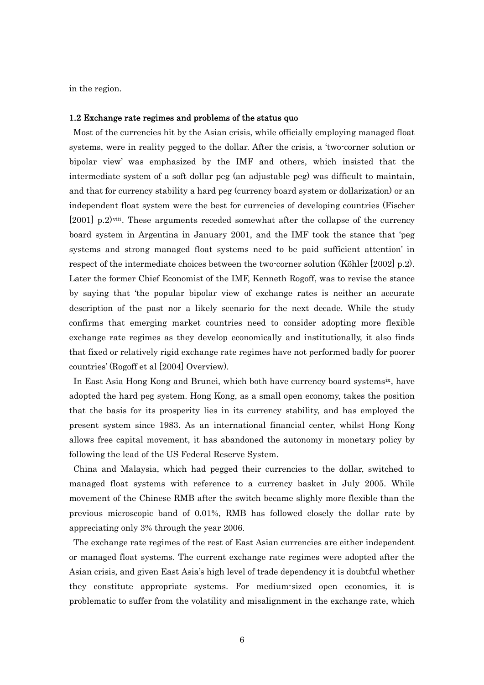in the region.

#### 1.2 Exchange rate regimes and problems of the status quo

Most of the currencies hit by the Asian crisis, while officially employing managed float systems, were in reality pegged to the dollar. After the crisis, a 'two-corner solution or bipolar view' was emphasized by the IMF and others, which insisted that the intermediate system of a soft dollar peg (an adjustable peg) was difficult to maintain, and that for currency stability a hard peg (currency board system or dollarization) or an independent float system were the best for currencies of developing countries (Fischer [2001] p.2)[viii](#page-44-1). These arguments receded somewhat after the collapse of the currency board system in Argentina in January 2001, and the IMF took the stance that 'peg systems and strong managed float systems need to be paid sufficient attention' in respect of the intermediate choices between the two-corner solution (Köhler [2002] p.2). Later the former Chief Economist of the IMF, Kenneth Rogoff, was to revise the stance by saying that 'the popular bipolar view of exchange rates is neither an accurate description of the past nor a likely scenario for the next decade. While the study confirms that emerging market countries need to consider adopting more flexible exchange rate regimes as they develop economically and institutionally, it also finds that fixed or relatively rigid exchange rate regimes have not performed badly for poorer countries' (Rogoff et al [2004] Overview).

In East Asia Hong Kong and Brunei, which both have currency board systems[ix](#page-44-1), have adopted the hard peg system. Hong Kong, as a small open economy, takes the position that the basis for its prosperity lies in its currency stability, and has employed the present system since 1983. As an international financial center, whilst Hong Kong allows free capital movement, it has abandoned the autonomy in monetary policy by following the lead of the US Federal Reserve System.

China and Malaysia, which had pegged their currencies to the dollar, switched to managed float systems with reference to a currency basket in July 2005. While movement of the Chinese RMB after the switch became slighly more flexible than the previous microscopic band of 0.01%, RMB has followed closely the dollar rate by appreciating only 3% through the year 2006.

The exchange rate regimes of the rest of East Asian currencies are either independent or managed float systems. The current exchange rate regimes were adopted after the Asian crisis, and given East Asia's high level of trade dependency it is doubtful whether they constitute appropriate systems. For medium-sized open economies, it is problematic to suffer from the volatility and misalignment in the exchange rate, which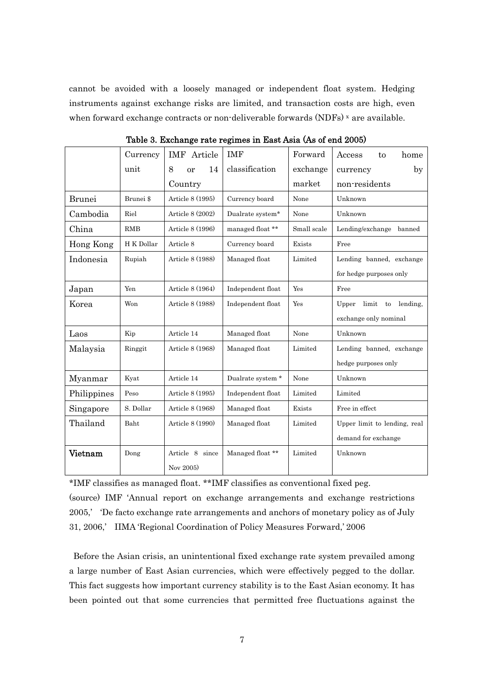cannot be avoided with a loosely managed or independent float system. Hedging instruments against exchange risks are limited, and transaction costs are high, even when forward e[x](#page-44-1)change contracts or non-deliverable forwards  $(NDFs)$ <sup>x</sup> are available.

|               | Currency   | <b>IMF</b> Article       | <b>IMF</b>        | Forward     | home<br>Access<br>to          |
|---------------|------------|--------------------------|-------------------|-------------|-------------------------------|
|               | unit       | 14<br>8<br><sub>or</sub> | classification    | exchange    | $_{\rm by}$<br>currency       |
|               |            | Country                  |                   | market      | non-residents                 |
| <b>Brunei</b> | Brunei \$  | Article 8 (1995)         | Currency board    | None        | Unknown                       |
| Cambodia      | Riel       | Article 8 (2002)         | Dualrate system*  | None        | Unknown                       |
| China         | <b>RMB</b> | Article 8 (1996)         | managed float **  | Small scale | Lending/exchange banned       |
| Hong Kong     | H K Dollar | Article 8                | Currency board    | Exists      | Free                          |
| Indonesia     | Rupiah     | Article 8 (1988)         | Managed float     | Limited     | Lending banned, exchange      |
|               |            |                          |                   |             | for hedge purposes only       |
| Japan         | Yen        | Article 8 (1964)         | Independent float | Yes         | Free                          |
| Korea         | Won        | Article 8 (1988)         | Independent float | Yes         | Upper<br>limit to<br>lending. |
|               |            |                          |                   |             | exchange only nominal         |
| Laos          | Kip        | Article 14               | Managed float     | None        | Unknown                       |
| Malaysia      | Ringgit    | Article 8 (1968)         | Managed float     | Limited     | Lending banned, exchange      |
|               |            |                          |                   |             | hedge purposes only           |
| Myanmar       | Kyat       | Article 14               | Dualrate system * | None        | Unknown                       |
| Philippines   | Peso       | Article 8 (1995)         | Independent float | Limited     | Limited                       |
| Singapore     | S. Dollar  | Article 8 (1968)         | Managed float     | Exists      | Free in effect                |
| Thailand      | Baht       | Article 8 (1990)         | Managed float     | Limited     | Upper limit to lending, real  |
|               |            |                          |                   |             | demand for exchange           |
| Vietnam       | Dong       | Article 8 since          | Managed float **  | Limited     | Unknown                       |
|               |            | Nov 2005)                |                   |             |                               |

Table 3. Exchange rate regimes in East Asia (As of end 2005)

\*IMF classifies as managed float. \*\*IMF classifies as conventional fixed peg. (source) IMF 'Annual report on exchange arrangements and exchange restrictions 2005,' 'De facto exchange rate arrangements and anchors of monetary policy as of July 31, 2006,' IIMA 'Regional Coordination of Policy Measures Forward,' 2006

Before the Asian crisis, an unintentional fixed exchange rate system prevailed among a large number of East Asian currencies, which were effectively pegged to the dollar. This fact suggests how important currency stability is to the East Asian economy. It has been pointed out that some currencies that permitted free fluctuations against the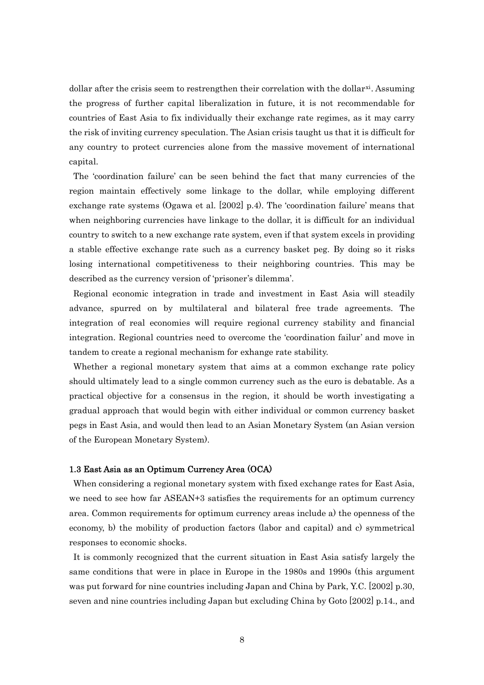dollar after the crisis seem to restrengthen their correlation with the dollar<sup>[xi](#page-44-1)</sup>. Assuming the progress of further capital liberalization in future, it is not recommendable for countries of East Asia to fix individually their exchange rate regimes, as it may carry the risk of inviting currency speculation. The Asian crisis taught us that it is difficult for any country to protect currencies alone from the massive movement of international capital.

The 'coordination failure' can be seen behind the fact that many currencies of the region maintain effectively some linkage to the dollar, while employing different exchange rate systems (Ogawa et al. [2002] p.4). The 'coordination failure' means that when neighboring currencies have linkage to the dollar, it is difficult for an individual country to switch to a new exchange rate system, even if that system excels in providing a stable effective exchange rate such as a currency basket peg. By doing so it risks losing international competitiveness to their neighboring countries. This may be described as the currency version of 'prisoner's dilemma'.

Regional economic integration in trade and investment in East Asia will steadily advance, spurred on by multilateral and bilateral free trade agreements. The integration of real economies will require regional currency stability and financial integration. Regional countries need to overcome the 'coordination failur' and move in tandem to create a regional mechanism for exhange rate stability.

Whether a regional monetary system that aims at a common exchange rate policy should ultimately lead to a single common currency such as the euro is debatable. As a practical objective for a consensus in the region, it should be worth investigating a gradual approach that would begin with either individual or common currency basket pegs in East Asia, and would then lead to an Asian Monetary System (an Asian version of the European Monetary System).

## 1.3 East Asia as an Optimum Currency Area (OCA)

When considering a regional monetary system with fixed exchange rates for East Asia, we need to see how far ASEAN+3 satisfies the requirements for an optimum currency area. Common requirements for optimum currency areas include a) the openness of the economy, b) the mobility of production factors (labor and capital) and c) symmetrical responses to economic shocks.

It is commonly recognized that the current situation in East Asia satisfy largely the same conditions that were in place in Europe in the 1980s and 1990s (this argument was put forward for nine countries including Japan and China by Park, Y.C. [2002] p.30, seven and nine countries including Japan but excluding China by Goto [2002] p.14., and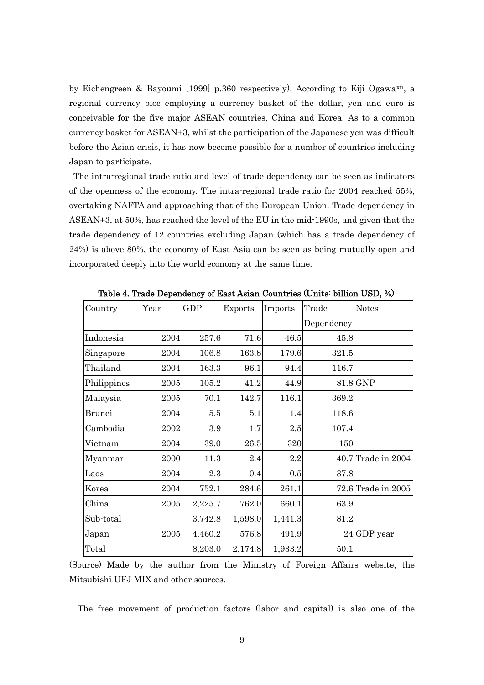by Eichengreen & Bayoumi [1999] p.360 respectively). According to Eiji Ogawa[xii](#page-44-1), a regional currency bloc employing a currency basket of the dollar, yen and euro is conceivable for the five major ASEAN countries, China and Korea. As to a common currency basket for ASEAN+3, whilst the participation of the Japanese yen was difficult before the Asian crisis, it has now become possible for a number of countries including Japan to participate.

The intra-regional trade ratio and level of trade dependency can be seen as indicators of the openness of the economy. The intra-regional trade ratio for 2004 reached 55%, overtaking NAFTA and approaching that of the European Union. Trade dependency in ASEAN+3, at 50%, has reached the level of the EU in the mid-1990s, and given that the trade dependency of 12 countries excluding Japan (which has a trade dependency of 24%) is above 80%, the economy of East Asia can be seen as being mutually open and incorporated deeply into the world economy at the same time.

| Country       | Year | <b>GDP</b> | Exports | Imports | Trade      | <b>Notes</b>           |
|---------------|------|------------|---------|---------|------------|------------------------|
|               |      |            |         |         | Dependency |                        |
| Indonesia     | 2004 | 257.6      | 71.6    | 46.5    | 45.8       |                        |
| Singapore     | 2004 | 106.8      | 163.8   | 179.6   | 321.5      |                        |
| Thailand      | 2004 | 163.3      | 96.1    | 94.4    | 116.7      |                        |
| Philippines   | 2005 | 105.2      | 41.2    | 44.9    |            | $81.8$ GNP             |
| Malaysia      | 2005 | 70.1       | 142.7   | 116.1   | 369.2      |                        |
| <b>Brunei</b> | 2004 | $5.5\,$    | 5.1     | 1.4     | 118.6      |                        |
| Cambodia      | 2002 | 3.9        | 1.7     | $2.5\,$ | 107.4      |                        |
| Vietnam       | 2004 | 39.0       | 26.5    | 320     | 150        |                        |
| Myanmar       | 2000 | 11.3       | 2.4     | 2.2     |            | $40.7$ Trade in $2004$ |
| Laos          | 2004 | 2.3        | 0.4     | 0.5     | 37.8       |                        |
| Korea         | 2004 | 752.1      | 284.6   | 261.1   |            | 72.6 Trade in 2005     |
| China         | 2005 | 2,225.7    | 762.0   | 660.1   | 63.9       |                        |
| Sub-total     |      | 3,742.8    | 1,598.0 | 1,441.3 | 81.2       |                        |
| Japan         | 2005 | 4,460.2    | 576.8   | 491.9   |            | 24 GDP year            |
| Total         |      | 8,203.0    | 2,174.8 | 1,933.2 | 50.1       |                        |
|               |      |            |         |         |            |                        |

Table 4. Trade Dependency of East Asian Countries (Units: billion USD, %)

(Source) Made by the author from the Ministry of Foreign Affairs website, the Mitsubishi UFJ MIX and other sources.

The free movement of production factors (labor and capital) is also one of the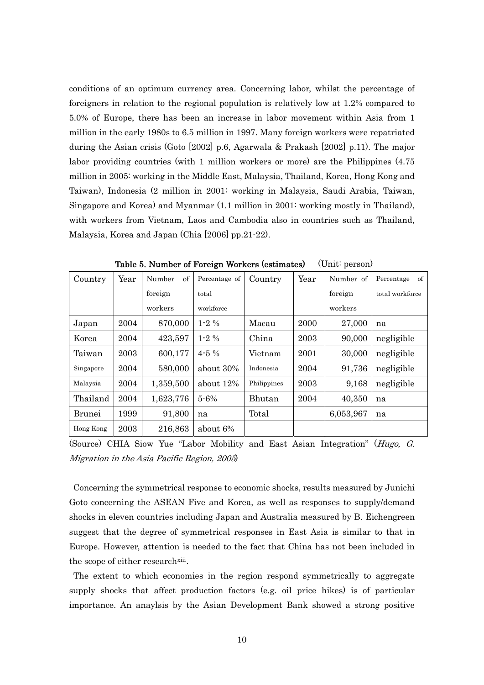conditions of an optimum currency area. Concerning labor, whilst the percentage of foreigners in relation to the regional population is relatively low at 1.2% compared to 5.0% of Europe, there has been an increase in labor movement within Asia from 1 million in the early 1980s to 6.5 million in 1997. Many foreign workers were repatriated during the Asian crisis (Goto [2002] p.6, Agarwala & Prakash [2002] p.11). The major labor providing countries (with 1 million workers or more) are the Philippines (4.75 million in 2005: working in the Middle East, Malaysia, Thailand, Korea, Hong Kong and Taiwan), Indonesia (2 million in 2001: working in Malaysia, Saudi Arabia, Taiwan, Singapore and Korea) and Myanmar (1.1 million in 2001: working mostly in Thailand), with workers from Vietnam, Laos and Cambodia also in countries such as Thailand, Malaysia, Korea and Japan (Chia [2006] pp.21-22).

| Country       | Year | of<br>Number | Percentage of | Country     | Year | Number of | Percentage<br>of |
|---------------|------|--------------|---------------|-------------|------|-----------|------------------|
|               |      | foreign      | total         |             |      | foreign   | total workforce  |
|               |      | workers      | workforce     |             |      | workers   |                  |
| Japan         | 2004 | 870,000      | $1-2\%$       | Macau       | 2000 | 27,000    | na               |
| Korea         | 2004 | 423,597      | $1 - 2\%$     | China       | 2003 | 90,000    | negligible       |
| Taiwan        | 2003 | 600,177      | $4 - 5\%$     | Vietnam     | 2001 | 30,000    | negligible       |
| Singapore     | 2004 | 580,000      | about 30%     | Indonesia   | 2004 | 91,736    | negligible       |
| Malaysia      | 2004 | 1,359,500    | about $12\%$  | Philippines | 2003 | 9,168     | negligible       |
| Thailand      | 2004 | 1,623,776    | 5-6%          | Bhutan      | 2004 | 40,350    | na               |
| <b>Brunei</b> | 1999 | 91,800       | na            | Total       |      | 6,053,967 | na               |
| Hong Kong     | 2003 | 216,863      | about 6%      |             |      |           |                  |

Table 5. Number of Foreign Workers (estimates) (Unit: person)

(Source) CHIA Siow Yue "Labor Mobility and East Asian Integration" (Hugo, G. Migration in the Asia Pacific Region, 2005)

Concerning the symmetrical response to economic shocks, results measured by Junichi Goto concerning the ASEAN Five and Korea, as well as responses to supply/demand shocks in eleven countries including Japan and Australia measured by B. Eichengreen suggest that the degree of symmetrical responses in East Asia is similar to that in Europe. However, attention is needed to the fact that China has not been included in the scope of either research<sup>[xiii](#page-44-1)</sup>.

The extent to which economies in the region respond symmetrically to aggregate supply shocks that affect production factors (e.g. oil price hikes) is of particular importance. An anaylsis by the Asian Development Bank showed a strong positive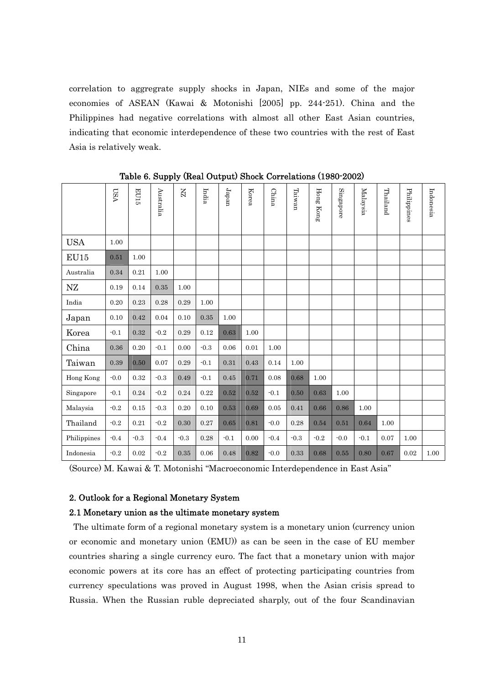correlation to aggregrate supply shocks in Japan, NIEs and some of the major economies of ASEAN (Kawai & Motonishi [2005] pp. 244-251). China and the Philippines had negative correlations with almost all other East Asian countries, indicating that economic interdependence of these two countries with the rest of East Asia is relatively weak.

|             | <b>LSA</b> | <b>EU15</b> | Australia | K      | India  | $Japan$ | Korea | China  | $\rm Tairman$ | Hong Kong | Singapore | Malaysia | Thailand | Philippines | Indonesia |
|-------------|------------|-------------|-----------|--------|--------|---------|-------|--------|---------------|-----------|-----------|----------|----------|-------------|-----------|
| <b>USA</b>  | 1.00       |             |           |        |        |         |       |        |               |           |           |          |          |             |           |
| EU15        | 0.51       | 1.00        |           |        |        |         |       |        |               |           |           |          |          |             |           |
| Australia   | 0.34       | 0.21        | 1.00      |        |        |         |       |        |               |           |           |          |          |             |           |
| NZ          | 0.19       | 0.14        | 0.35      | 1.00   |        |         |       |        |               |           |           |          |          |             |           |
| India       | 0.20       | 0.23        | 0.28      | 0.29   | 1.00   |         |       |        |               |           |           |          |          |             |           |
| Japan       | 0.10       | 0.42        | 0.04      | 0.10   | 0.35   | 1.00    |       |        |               |           |           |          |          |             |           |
| Korea       | $-0.1$     | 0.32        | $-0.2$    | 0.29   | 0.12   | 0.63    | 1.00  |        |               |           |           |          |          |             |           |
| China       | 0.36       | 0.20        | $-0.1$    | 0.00   | $-0.3$ | 0.06    | 0.01  | 1.00   |               |           |           |          |          |             |           |
| Taiwan      | 0.39       | 0.50        | 0.07      | 0.29   | $-0.1$ | 0.31    | 0.43  | 0.14   | 1.00          |           |           |          |          |             |           |
| Hong Kong   | $-0.0$     | $\rm 0.32$  | $-0.3$    | 0.49   | $-0.1$ | 0.45    | 0.71  | 0.08   | 0.68          | 1.00      |           |          |          |             |           |
| Singapore   | $-0.1$     | 0.24        | $-0.2$    | 0.24   | 0.22   | 0.52    | 0.52  | $-0.1$ | 0.50          | 0.63      | 1.00      |          |          |             |           |
| Malaysia    | $-0.2$     | 0.15        | $-0.3$    | 0.20   | 0.10   | 0.53    | 0.69  | 0.05   | 0.41          | 0.66      | 0.86      | 1.00     |          |             |           |
| Thailand    | $-0.2$     | 0.21        | $-0.2$    | 0.30   | 0.27   | 0.65    | 0.81  | $-0.0$ | 0.28          | 0.54      | 0.51      | 0.64     | 1.00     |             |           |
| Philippines | $-0.4$     | $-0.3$      | $-0.4$    | $-0.3$ | 0.28   | $-0.1$  | 0.00  | $-0.4$ | $-0.3$        | $-0.2$    | $-0.0$    | $-0.1$   | 0.07     | 1.00        |           |
| Indonesia   | $-0.2$     | 0.02        | $-0.2$    | 0.35   | 0.06   | 0.48    | 0.82  | $-0.0$ | 0.33          | 0.68      | 0.55      | 0.80     | 0.67     | 0.02        | 1.00      |

Table 6. Supply (Real Output) Shock Correlations (1980-2002)

(Source) M. Kawai & T. Motonishi "Macroeconomic Interdependence in East Asia"

## 2. Outlook for a Regional Monetary System

## 2.1 Monetary union as the ultimate monetary system

The ultimate form of a regional monetary system is a monetary union (currency union or economic and monetary union (EMU)) as can be seen in the case of EU member countries sharing a single currency euro. The fact that a monetary union with major economic powers at its core has an effect of protecting participating countries from currency speculations was proved in August 1998, when the Asian crisis spread to Russia. When the Russian ruble depreciated sharply, out of the four Scandinavian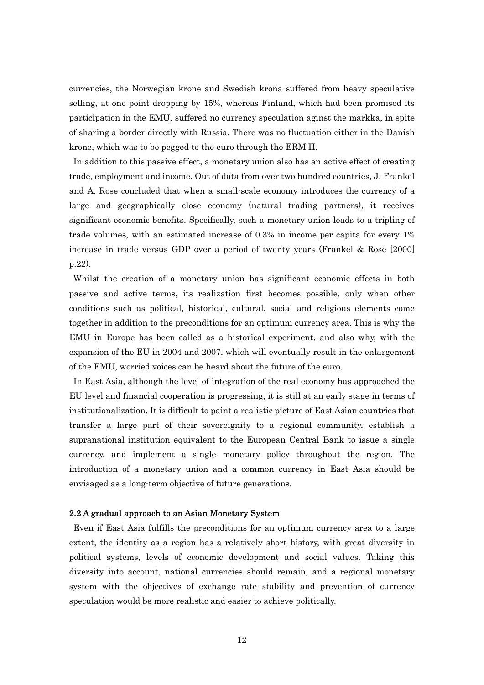currencies, the Norwegian krone and Swedish krona suffered from heavy speculative selling, at one point dropping by 15%, whereas Finland, which had been promised its participation in the EMU, suffered no currency speculation aginst the markka, in spite of sharing a border directly with Russia. There was no fluctuation either in the Danish krone, which was to be pegged to the euro through the ERM II.

In addition to this passive effect, a monetary union also has an active effect of creating trade, employment and income. Out of data from over two hundred countries, J. Frankel and A. Rose concluded that when a small-scale economy introduces the currency of a large and geographically close economy (natural trading partners), it receives significant economic benefits. Specifically, such a monetary union leads to a tripling of trade volumes, with an estimated increase of 0.3% in income per capita for every 1% increase in trade versus GDP over a period of twenty years (Frankel & Rose [2000] p.22).

Whilst the creation of a monetary union has significant economic effects in both passive and active terms, its realization first becomes possible, only when other conditions such as political, historical, cultural, social and religious elements come together in addition to the preconditions for an optimum currency area. This is why the EMU in Europe has been called as a historical experiment, and also why, with the expansion of the EU in 2004 and 2007, which will eventually result in the enlargement of the EMU, worried voices can be heard about the future of the euro.

In East Asia, although the level of integration of the real economy has approached the EU level and financial cooperation is progressing, it is still at an early stage in terms of institutionalization. It is difficult to paint a realistic picture of East Asian countries that transfer a large part of their sovereignity to a regional community, establish a supranational institution equivalent to the European Central Bank to issue a single currency, and implement a single monetary policy throughout the region. The introduction of a monetary union and a common currency in East Asia should be envisaged as a long-term objective of future generations.

#### 2.2 A gradual approach to an Asian Monetary System

Even if East Asia fulfills the preconditions for an optimum currency area to a large extent, the identity as a region has a relatively short history, with great diversity in political systems, levels of economic development and social values. Taking this diversity into account, national currencies should remain, and a regional monetary system with the objectives of exchange rate stability and prevention of currency speculation would be more realistic and easier to achieve politically.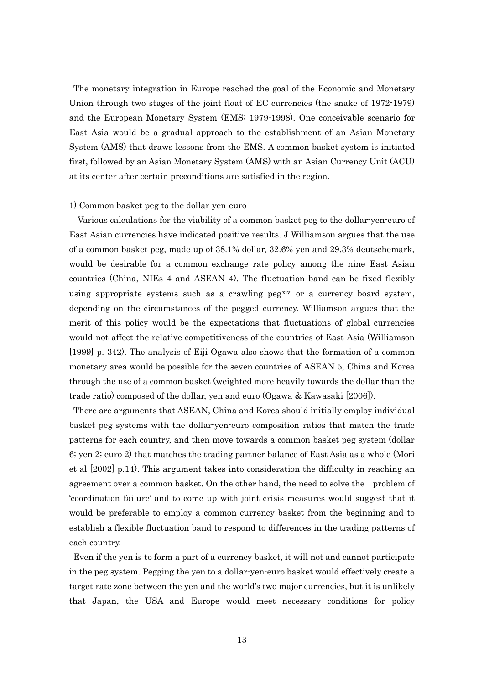The monetary integration in Europe reached the goal of the Economic and Monetary Union through two stages of the joint float of EC currencies (the snake of 1972-1979) and the European Monetary System (EMS: 1979-1998). One conceivable scenario for East Asia would be a gradual approach to the establishment of an Asian Monetary System (AMS) that draws lessons from the EMS. A common basket system is initiated first, followed by an Asian Monetary System (AMS) with an Asian Currency Unit (ACU) at its center after certain preconditions are satisfied in the region.

#### 1) Common basket peg to the dollar-yen-euro

Various calculations for the viability of a common basket peg to the dollar-yen-euro of East Asian currencies have indicated positive results. J Williamson argues that the use of a common basket peg, made up of 38.1% dollar, 32.6% yen and 29.3% deutschemark, would be desirable for a common exchange rate policy among the nine East Asian countries (China, NIEs 4 and ASEAN 4). The fluctuation band can be fixed flexibly using appropriate systems such as a crawling peg[xiv](#page-44-1) or a currency board system, depending on the circumstances of the pegged currency. Williamson argues that the merit of this policy would be the expectations that fluctuations of global currencies would not affect the relative competitiveness of the countries of East Asia (Williamson [1999] p. 342). The analysis of Eiji Ogawa also shows that the formation of a common monetary area would be possible for the seven countries of ASEAN 5, China and Korea through the use of a common basket (weighted more heavily towards the dollar than the trade ratio) composed of the dollar, yen and euro (Ogawa & Kawasaki [2006]).

There are arguments that ASEAN, China and Korea should initially employ individual basket peg systems with the dollar-yen-euro composition ratios that match the trade patterns for each country, and then move towards a common basket peg system (dollar 6; yen 2; euro 2) that matches the trading partner balance of East Asia as a whole (Mori et al [2002] p.14). This argument takes into consideration the difficulty in reaching an agreement over a common basket. On the other hand, the need to solve the problem of 'coordination failure' and to come up with joint crisis measures would suggest that it would be preferable to employ a common currency basket from the beginning and to establish a flexible fluctuation band to respond to differences in the trading patterns of each country.

Even if the yen is to form a part of a currency basket, it will not and cannot participate in the peg system. Pegging the yen to a dollar-yen-euro basket would effectively create a target rate zone between the yen and the world's two major currencies, but it is unlikely that Japan, the USA and Europe would meet necessary conditions for policy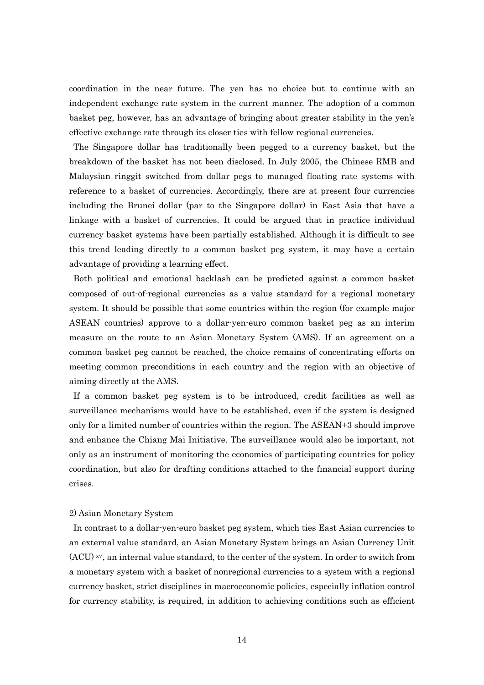coordination in the near future. The yen has no choice but to continue with an independent exchange rate system in the current manner. The adoption of a common basket peg, however, has an advantage of bringing about greater stability in the yen's effective exchange rate through its closer ties with fellow regional currencies.

The Singapore dollar has traditionally been pegged to a currency basket, but the breakdown of the basket has not been disclosed. In July 2005, the Chinese RMB and Malaysian ringgit switched from dollar pegs to managed floating rate systems with reference to a basket of currencies. Accordingly, there are at present four currencies including the Brunei dollar (par to the Singapore dollar) in East Asia that have a linkage with a basket of currencies. It could be argued that in practice individual currency basket systems have been partially established. Although it is difficult to see this trend leading directly to a common basket peg system, it may have a certain advantage of providing a learning effect.

Both political and emotional backlash can be predicted against a common basket composed of out-of-regional currencies as a value standard for a regional monetary system. It should be possible that some countries within the region (for example major ASEAN countries) approve to a dollar-yen-euro common basket peg as an interim measure on the route to an Asian Monetary System (AMS). If an agreement on a common basket peg cannot be reached, the choice remains of concentrating efforts on meeting common preconditions in each country and the region with an objective of aiming directly at the AMS.

If a common basket peg system is to be introduced, credit facilities as well as surveillance mechanisms would have to be established, even if the system is designed only for a limited number of countries within the region. The ASEAN+3 should improve and enhance the Chiang Mai Initiative. The surveillance would also be important, not only as an instrument of monitoring the economies of participating countries for policy coordination, but also for drafting conditions attached to the financial support during crises.

#### 2) Asian Monetary System

In contrast to a dollar-yen-euro basket peg system, which ties East Asian currencies to an external value standard, an Asian Monetary System brings an Asian Currency Unit  $(ACU)$  [xv](#page-44-1), an internal value standard, to the center of the system. In order to switch from a monetary system with a basket of nonregional currencies to a system with a regional currency basket, strict disciplines in macroeconomic policies, especially inflation control for currency stability, is required, in addition to achieving conditions such as efficient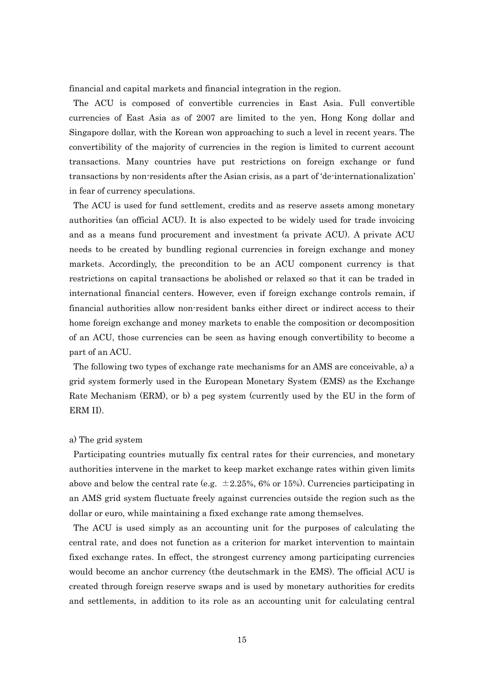financial and capital markets and financial integration in the region.

The ACU is composed of convertible currencies in East Asia. Full convertible currencies of East Asia as of 2007 are limited to the yen, Hong Kong dollar and Singapore dollar, with the Korean won approaching to such a level in recent years. The convertibility of the majority of currencies in the region is limited to current account transactions. Many countries have put restrictions on foreign exchange or fund transactions by non-residents after the Asian crisis, as a part of 'de-internationalization' in fear of currency speculations.

The ACU is used for fund settlement, credits and as reserve assets among monetary authorities (an official ACU). It is also expected to be widely used for trade invoicing and as a means fund procurement and investment (a private ACU). A private ACU needs to be created by bundling regional currencies in foreign exchange and money markets. Accordingly, the precondition to be an ACU component currency is that restrictions on capital transactions be abolished or relaxed so that it can be traded in international financial centers. However, even if foreign exchange controls remain, if financial authorities allow non-resident banks either direct or indirect access to their home foreign exchange and money markets to enable the composition or decomposition of an ACU, those currencies can be seen as having enough convertibility to become a part of an ACU.

The following two types of exchange rate mechanisms for an AMS are conceivable, a) a grid system formerly used in the European Monetary System (EMS) as the Exchange Rate Mechanism (ERM), or b) a peg system (currently used by the EU in the form of ERM II).

#### a) The grid system

Participating countries mutually fix central rates for their currencies, and monetary authorities intervene in the market to keep market exchange rates within given limits above and below the central rate (e.g.  $\pm 2.25\%$ , 6% or 15%). Currencies participating in an AMS grid system fluctuate freely against currencies outside the region such as the dollar or euro, while maintaining a fixed exchange rate among themselves.

The ACU is used simply as an accounting unit for the purposes of calculating the central rate, and does not function as a criterion for market intervention to maintain fixed exchange rates. In effect, the strongest currency among participating currencies would become an anchor currency (the deutschmark in the EMS). The official ACU is created through foreign reserve swaps and is used by monetary authorities for credits and settlements, in addition to its role as an accounting unit for calculating central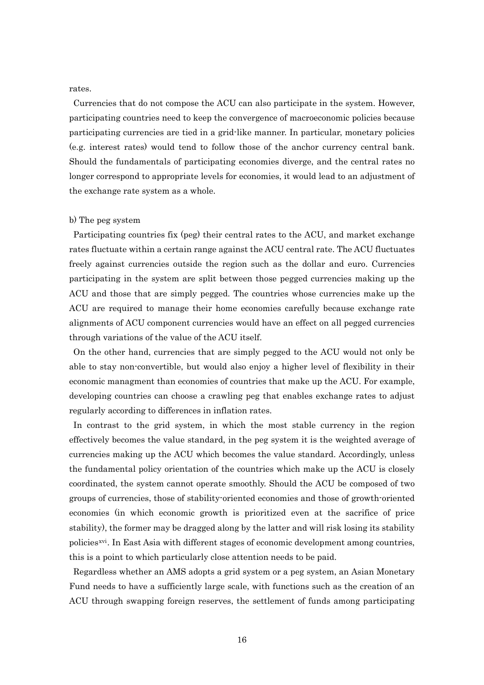rates.

Currencies that do not compose the ACU can also participate in the system. However, participating countries need to keep the convergence of macroeconomic policies because participating currencies are tied in a grid-like manner. In particular, monetary policies (e.g. interest rates) would tend to follow those of the anchor currency central bank. Should the fundamentals of participating economies diverge, and the central rates no longer correspond to appropriate levels for economies, it would lead to an adjustment of the exchange rate system as a whole.

#### b) The peg system

Participating countries fix (peg) their central rates to the ACU, and market exchange rates fluctuate within a certain range against the ACU central rate. The ACU fluctuates freely against currencies outside the region such as the dollar and euro. Currencies participating in the system are split between those pegged currencies making up the ACU and those that are simply pegged. The countries whose currencies make up the ACU are required to manage their home economies carefully because exchange rate alignments of ACU component currencies would have an effect on all pegged currencies through variations of the value of the ACU itself.

On the other hand, currencies that are simply pegged to the ACU would not only be able to stay non-convertible, but would also enjoy a higher level of flexibility in their economic managment than economies of countries that make up the ACU. For example, developing countries can choose a crawling peg that enables exchange rates to adjust regularly according to differences in inflation rates.

In contrast to the grid system, in which the most stable currency in the region effectively becomes the value standard, in the peg system it is the weighted average of currencies making up the ACU which becomes the value standard. Accordingly, unless the fundamental policy orientation of the countries which make up the ACU is closely coordinated, the system cannot operate smoothly. Should the ACU be composed of two groups of currencies, those of stability-oriented economies and those of growth-oriented economies (in which economic growth is prioritized even at the sacrifice of price stability), the former may be dragged along by the latter and will risk losing its stability policies[xvi](#page-44-1). In East Asia with different stages of economic development among countries, this is a point to which particularly close attention needs to be paid.

Regardless whether an AMS adopts a grid system or a peg system, an Asian Monetary Fund needs to have a sufficiently large scale, with functions such as the creation of an ACU through swapping foreign reserves, the settlement of funds among participating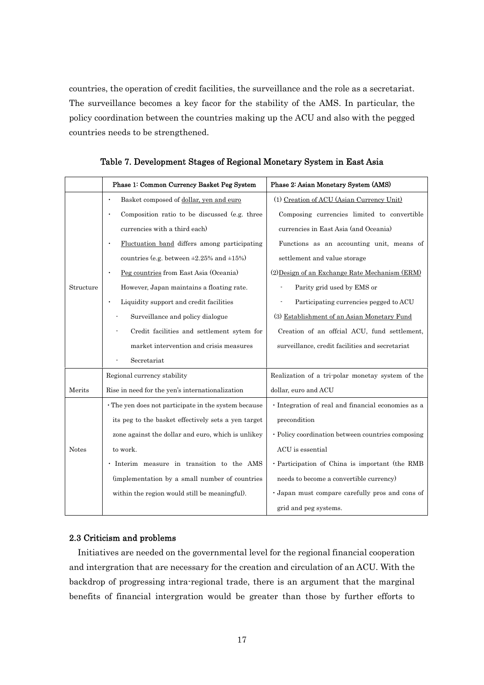countries, the operation of credit facilities, the surveillance and the role as a secretariat. The surveillance becomes a key facor for the stability of the AMS. In particular, the policy coordination between the countries making up the ACU and also with the pegged countries needs to be strengthened.

|              | Phase 1: Common Currency Basket Peg System                 | Phase 2: Asian Monetary System (AMS)               |
|--------------|------------------------------------------------------------|----------------------------------------------------|
|              | Basket composed of dollar, yen and euro                    | (1) Creation of ACU (Asian Currency Unit)          |
|              | Composition ratio to be discussed (e.g. three<br>$\bullet$ | Composing currencies limited to convertible        |
|              | currencies with a third each)                              | currencies in East Asia (and Oceania)              |
|              | Fluctuation band differs among participating               | Functions as an accounting unit, means of          |
|              | countries (e.g. between $\pm 2.25\%$ and $\pm 15\%$ )      | settlement and value storage                       |
|              | Peg countries from East Asia (Oceania)                     | (2) Design of an Exchange Rate Mechanism (ERM)     |
| Structure    | However, Japan maintains a floating rate.                  | Parity grid used by EMS or                         |
|              | Liquidity support and credit facilities                    | Participating currencies pegged to ACU             |
|              | Surveillance and policy dialogue                           | (3) Establishment of an Asian Monetary Fund        |
|              | Credit facilities and settlement sytem for                 | Creation of an offcial ACU, fund settlement,       |
|              | market intervention and crisis measures                    | surveillance, credit facilities and secretariat    |
|              | Secretariat                                                |                                                    |
|              | Regional currency stability                                | Realization of a tri-polar monetay system of the   |
| Merits       | Rise in need for the yen's internationalization            | dollar, euro and ACU                               |
|              | · The yen does not participate in the system because       | · Integration of real and financial economies as a |
|              | its peg to the basket effectively sets a yen target        | precondition                                       |
|              | zone against the dollar and euro, which is unlikey         | • Policy coordination between countries composing  |
| <b>Notes</b> | to work.                                                   | ACU is essential                                   |
|              | · Interim measure in transition to the AMS                 | · Participation of China is important (the RMB     |
|              | (implementation by a small number of countries             | needs to become a convertible currency)            |
|              | within the region would still be meaningful).              | · Japan must compare carefully pros and cons of    |
|              |                                                            | grid and peg systems.                              |

Table 7. Development Stages of Regional Monetary System in East Asia

## 2.3 Criticism and problems

Initiatives are needed on the governmental level for the regional financial cooperation and intergration that are necessary for the creation and circulation of an ACU. With the backdrop of progressing intra-regional trade, there is an argument that the marginal benefits of financial intergration would be greater than those by further efforts to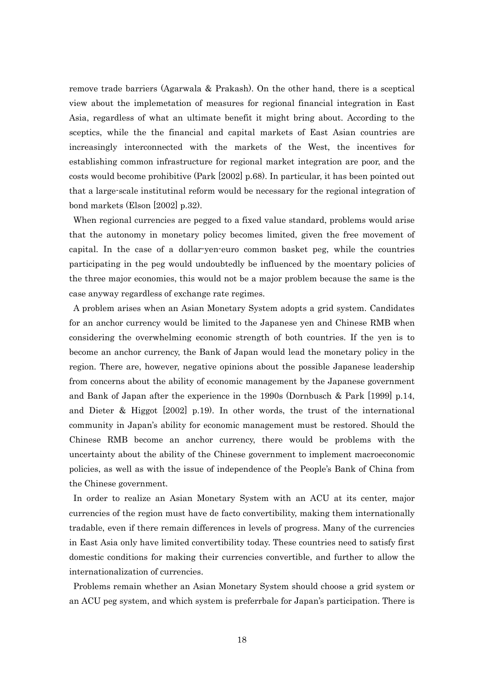remove trade barriers (Agarwala & Prakash). On the other hand, there is a sceptical view about the implemetation of measures for regional financial integration in East Asia, regardless of what an ultimate benefit it might bring about. According to the sceptics, while the the financial and capital markets of East Asian countries are increasingly interconnected with the markets of the West, the incentives for establishing common infrastructure for regional market integration are poor, and the costs would become prohibitive (Park [2002] p.68). In particular, it has been pointed out that a large-scale institutinal reform would be necessary for the regional integration of bond markets (Elson [2002] p.32).

When regional currencies are pegged to a fixed value standard, problems would arise that the autonomy in monetary policy becomes limited, given the free movement of capital. In the case of a dollar-yen-euro common basket peg, while the countries participating in the peg would undoubtedly be influenced by the moentary policies of the three major economies, this would not be a major problem because the same is the case anyway regardless of exchange rate regimes.

A problem arises when an Asian Monetary System adopts a grid system. Candidates for an anchor currency would be limited to the Japanese yen and Chinese RMB when considering the overwhelming economic strength of both countries. If the yen is to become an anchor currency, the Bank of Japan would lead the monetary policy in the region. There are, however, negative opinions about the possible Japanese leadership from concerns about the ability of economic management by the Japanese government and Bank of Japan after the experience in the 1990s (Dornbusch & Park [1999] p.14, and Dieter & Higgot [2002] p.19). In other words, the trust of the international community in Japan's ability for economic management must be restored. Should the Chinese RMB become an anchor currency, there would be problems with the uncertainty about the ability of the Chinese government to implement macroeconomic policies, as well as with the issue of independence of the People's Bank of China from the Chinese government.

In order to realize an Asian Monetary System with an ACU at its center, major currencies of the region must have de facto convertibility, making them internationally tradable, even if there remain differences in levels of progress. Many of the currencies in East Asia only have limited convertibility today. These countries need to satisfy first domestic conditions for making their currencies convertible, and further to allow the internationalization of currencies.

Problems remain whether an Asian Monetary System should choose a grid system or an ACU peg system, and which system is preferrbale for Japan's participation. There is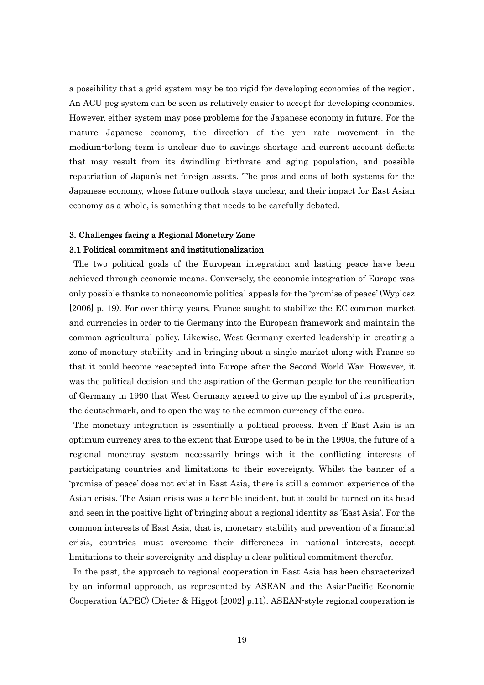a possibility that a grid system may be too rigid for developing economies of the region. An ACU peg system can be seen as relatively easier to accept for developing economies. However, either system may pose problems for the Japanese economy in future. For the mature Japanese economy, the direction of the yen rate movement in the medium-to-long term is unclear due to savings shortage and current account deficits that may result from its dwindling birthrate and aging population, and possible repatriation of Japan's net foreign assets. The pros and cons of both systems for the Japanese economy, whose future outlook stays unclear, and their impact for East Asian economy as a whole, is something that needs to be carefully debated.

# 3. Challenges facing a Regional Monetary Zone 3.1 Political commitment and institutionalization

The two political goals of the European integration and lasting peace have been achieved through economic means. Conversely, the economic integration of Europe was only possible thanks to noneconomic political appeals for the 'promise of peace' (Wyplosz [2006] p. 19). For over thirty years, France sought to stabilize the EC common market and currencies in order to tie Germany into the European framework and maintain the common agricultural policy. Likewise, West Germany exerted leadership in creating a zone of monetary stability and in bringing about a single market along with France so that it could become reaccepted into Europe after the Second World War. However, it was the political decision and the aspiration of the German people for the reunification of Germany in 1990 that West Germany agreed to give up the symbol of its prosperity, the deutschmark, and to open the way to the common currency of the euro.

The monetary integration is essentially a political process. Even if East Asia is an optimum currency area to the extent that Europe used to be in the 1990s, the future of a regional monetray system necessarily brings with it the conflicting interests of participating countries and limitations to their sovereignty. Whilst the banner of a 'promise of peace' does not exist in East Asia, there is still a common experience of the Asian crisis. The Asian crisis was a terrible incident, but it could be turned on its head and seen in the positive light of bringing about a regional identity as 'East Asia'. For the common interests of East Asia, that is, monetary stability and prevention of a financial crisis, countries must overcome their differences in national interests, accept limitations to their sovereignity and display a clear political commitment therefor.

In the past, the approach to regional cooperation in East Asia has been characterized by an informal approach, as represented by ASEAN and the Asia-Pacific Economic Cooperation (APEC) (Dieter & Higgot [2002] p.11). ASEAN-style regional cooperation is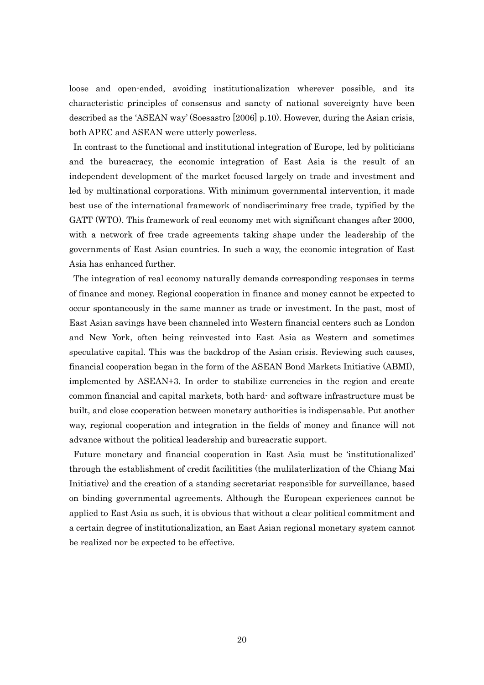loose and open-ended, avoiding institutionalization wherever possible, and its characteristic principles of consensus and sancty of national sovereignty have been described as the 'ASEAN way' (Soesastro [2006] p.10). However, during the Asian crisis, both APEC and ASEAN were utterly powerless.

In contrast to the functional and institutional integration of Europe, led by politicians and the bureacracy, the economic integration of East Asia is the result of an independent development of the market focused largely on trade and investment and led by multinational corporations. With minimum governmental intervention, it made best use of the international framework of nondiscriminary free trade, typified by the GATT (WTO). This framework of real economy met with significant changes after 2000, with a network of free trade agreements taking shape under the leadership of the governments of East Asian countries. In such a way, the economic integration of East Asia has enhanced further.

The integration of real economy naturally demands corresponding responses in terms of finance and money. Regional cooperation in finance and money cannot be expected to occur spontaneously in the same manner as trade or investment. In the past, most of East Asian savings have been channeled into Western financial centers such as London and New York, often being reinvested into East Asia as Western and sometimes speculative capital. This was the backdrop of the Asian crisis. Reviewing such causes, financial cooperation began in the form of the ASEAN Bond Markets Initiative (ABMI), implemented by ASEAN+3. In order to stabilize currencies in the region and create common financial and capital markets, both hard- and software infrastructure must be built, and close cooperation between monetary authorities is indispensable. Put another way, regional cooperation and integration in the fields of money and finance will not advance without the political leadership and bureacratic support.

Future monetary and financial cooperation in East Asia must be 'institutionalized' through the establishment of credit facilitities (the mulilaterlization of the Chiang Mai Initiative) and the creation of a standing secretariat responsible for surveillance, based on binding governmental agreements. Although the European experiences cannot be applied to East Asia as such, it is obvious that without a clear political commitment and a certain degree of institutionalization, an East Asian regional monetary system cannot be realized nor be expected to be effective.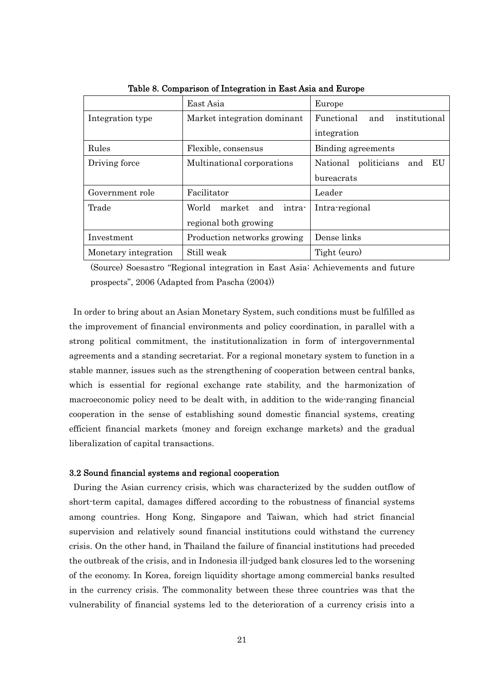|                      | East Asia                        | Europe                               |  |  |
|----------------------|----------------------------------|--------------------------------------|--|--|
| Integration type     | Market integration dominant      | institutional<br>Functional<br>and   |  |  |
|                      |                                  | integration                          |  |  |
| Rules                | Flexible, consensus              | Binding agreements                   |  |  |
| Driving force        | Multinational corporations       | politicians<br>EU<br>National<br>and |  |  |
|                      |                                  | bureacrats                           |  |  |
| Government role      | Facilitator                      | Leader                               |  |  |
| Trade                | World<br>market<br>and<br>intra- | Intra-regional                       |  |  |
|                      | regional both growing            |                                      |  |  |
| Investment           | Production networks growing      | Dense links                          |  |  |
| Monetary integration | Still weak                       | Tight (euro)                         |  |  |

Table 8. Comparison of Integration in East Asia and Europe

(Source) Soesastro "Regional integration in East Asia: Achievements and future prospects", 2006 (Adapted from Pascha (2004))

In order to bring about an Asian Monetary System, such conditions must be fulfilled as the improvement of financial environments and policy coordination, in parallel with a strong political commitment, the institutionalization in form of intergovernmental agreements and a standing secretariat. For a regional monetary system to function in a stable manner, issues such as the strengthening of cooperation between central banks, which is essential for regional exchange rate stability, and the harmonization of macroeconomic policy need to be dealt with, in addition to the wide-ranging financial cooperation in the sense of establishing sound domestic financial systems, creating efficient financial markets (money and foreign exchange markets) and the gradual liberalization of capital transactions.

## 3.2 Sound financial systems and regional cooperation

During the Asian currency crisis, which was characterized by the sudden outflow of short-term capital, damages differed according to the robustness of financial systems among countries. Hong Kong, Singapore and Taiwan, which had strict financial supervision and relatively sound financial institutions could withstand the currency crisis. On the other hand, in Thailand the failure of financial institutions had preceded the outbreak of the crisis, and in Indonesia ill-judged bank closures led to the worsening of the economy. In Korea, foreign liquidity shortage among commercial banks resulted in the currency crisis. The commonality between these three countries was that the vulnerability of financial systems led to the deterioration of a currency crisis into a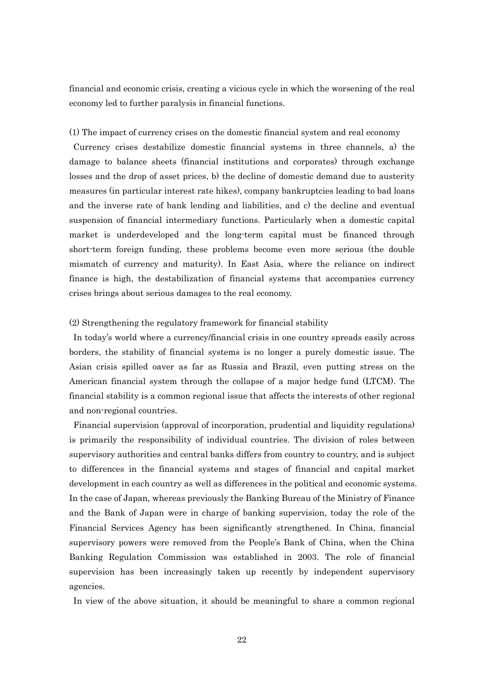financial and economic crisis, creating a vicious cycle in which the worsening of the real economy led to further paralysis in financial functions.

#### (1) The impact of currency crises on the domestic financial system and real economy

Currency crises destabilize domestic financial systems in three channels, a) the damage to balance sheets (financial institutions and corporates) through exchange losses and the drop of asset prices, b) the decline of domestic demand due to austerity measures (in particular interest rate hikes), company bankruptcies leading to bad loans and the inverse rate of bank lending and liabilities, and c) the decline and eventual suspension of financial intermediary functions. Particularly when a domestic capital market is underdeveloped and the long-term capital must be financed through short-term foreign funding, these problems become even more serious (the double mismatch of currency and maturity). In East Asia, where the reliance on indirect finance is high, the destabilization of financial systems that accompanies currency crises brings about serious damages to the real economy.

#### (2) Strengthening the regulatory framework for financial stability

In today's world where a currency/financial crisis in one country spreads easily across borders, the stability of financial systems is no longer a purely domestic issue. The Asian crisis spilled oaver as far as Russia and Brazil, even putting stress on the American financial system through the collapse of a major hedge fund (LTCM). The financial stability is a common regional issue that affects the interests of other regional and non-regional countries.

Financial supervision (approval of incorporation, prudential and liquidity regulations) is primarily the responsibility of individual countries. The division of roles between supervisory authorities and central banks differs from country to country, and is subject to differences in the financial systems and stages of financial and capital market development in each country as well as differences in the political and economic systems. In the case of Japan, whereas previously the Banking Bureau of the Ministry of Finance and the Bank of Japan were in charge of banking supervision, today the role of the Financial Services Agency has been significantly strengthened. In China, financial supervisory powers were removed from the People's Bank of China, when the China Banking Regulation Commission was established in 2003. The role of financial supervision has been increasingly taken up recently by independent supervisory agencies.

In view of the above situation, it should be meaningful to share a common regional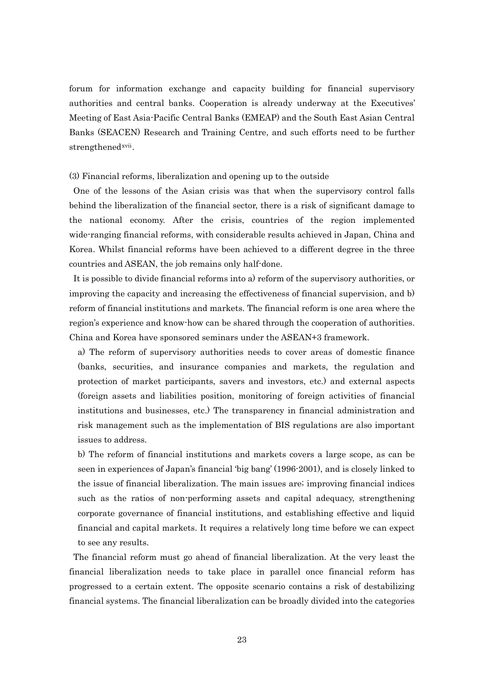forum for information exchange and capacity building for financial supervisory authorities and central banks. Cooperation is already underway at the Executives' Meeting of East Asia-Pacific Central Banks (EMEAP) and the South East Asian Central Banks (SEACEN) Research and Training Centre, and such efforts need to be further strengthened[xvii](#page-44-1).

(3) Financial reforms, liberalization and opening up to the outside

One of the lessons of the Asian crisis was that when the supervisory control falls behind the liberalization of the financial sector, there is a risk of significant damage to the national economy. After the crisis, countries of the region implemented wide-ranging financial reforms, with considerable results achieved in Japan, China and Korea. Whilst financial reforms have been achieved to a different degree in the three countries and ASEAN, the job remains only half-done.

It is possible to divide financial reforms into a) reform of the supervisory authorities, or improving the capacity and increasing the effectiveness of financial supervision, and b) reform of financial institutions and markets. The financial reform is one area where the region's experience and know-how can be shared through the cooperation of authorities. China and Korea have sponsored seminars under the ASEAN+3 framework.

a) The reform of supervisory authorities needs to cover areas of domestic finance (banks, securities, and insurance companies and markets, the regulation and protection of market participants, savers and investors, etc.) and external aspects (foreign assets and liabilities position, monitoring of foreign activities of financial institutions and businesses, etc.) The transparency in financial administration and risk management such as the implementation of BIS regulations are also important issues to address.

b) The reform of financial institutions and markets covers a large scope, as can be seen in experiences of Japan's financial 'big bang' (1996-2001), and is closely linked to the issue of financial liberalization. The main issues are; improving financial indices such as the ratios of non-performing assets and capital adequacy, strengthening corporate governance of financial institutions, and establishing effective and liquid financial and capital markets. It requires a relatively long time before we can expect to see any results.

The financial reform must go ahead of financial liberalization. At the very least the financial liberalization needs to take place in parallel once financial reform has progressed to a certain extent. The opposite scenario contains a risk of destabilizing financial systems. The financial liberalization can be broadly divided into the categories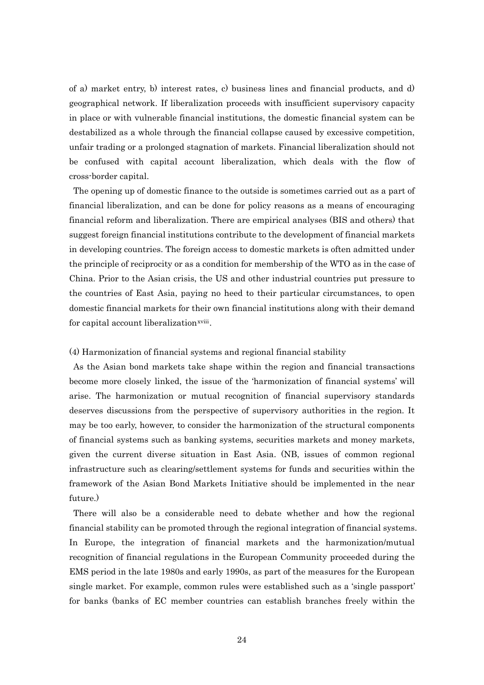of a) market entry, b) interest rates, c) business lines and financial products, and d) geographical network. If liberalization proceeds with insufficient supervisory capacity in place or with vulnerable financial institutions, the domestic financial system can be destabilized as a whole through the financial collapse caused by excessive competition, unfair trading or a prolonged stagnation of markets. Financial liberalization should not be confused with capital account liberalization, which deals with the flow of cross-border capital.

The opening up of domestic finance to the outside is sometimes carried out as a part of financial liberalization, and can be done for policy reasons as a means of encouraging financial reform and liberalization. There are empirical analyses (BIS and others) that suggest foreign financial institutions contribute to the development of financial markets in developing countries. The foreign access to domestic markets is often admitted under the principle of reciprocity or as a condition for membership of the WTO as in the case of China. Prior to the Asian crisis, the US and other industrial countries put pressure to the countries of East Asia, paying no heed to their particular circumstances, to open domestic financial markets for their own financial institutions along with their demand for capital account liberalization<sup>[xviii](#page-44-1)</sup>.

## (4) Harmonization of financial systems and regional financial stability

As the Asian bond markets take shape within the region and financial transactions become more closely linked, the issue of the 'harmonization of financial systems' will arise. The harmonization or mutual recognition of financial supervisory standards deserves discussions from the perspective of supervisory authorities in the region. It may be too early, however, to consider the harmonization of the structural components of financial systems such as banking systems, securities markets and money markets, given the current diverse situation in East Asia. (NB, issues of common regional infrastructure such as clearing/settlement systems for funds and securities within the framework of the Asian Bond Markets Initiative should be implemented in the near future.)

There will also be a considerable need to debate whether and how the regional financial stability can be promoted through the regional integration of financial systems. In Europe, the integration of financial markets and the harmonization/mutual recognition of financial regulations in the European Community proceeded during the EMS period in the late 1980s and early 1990s, as part of the measures for the European single market. For example, common rules were established such as a 'single passport' for banks (banks of EC member countries can establish branches freely within the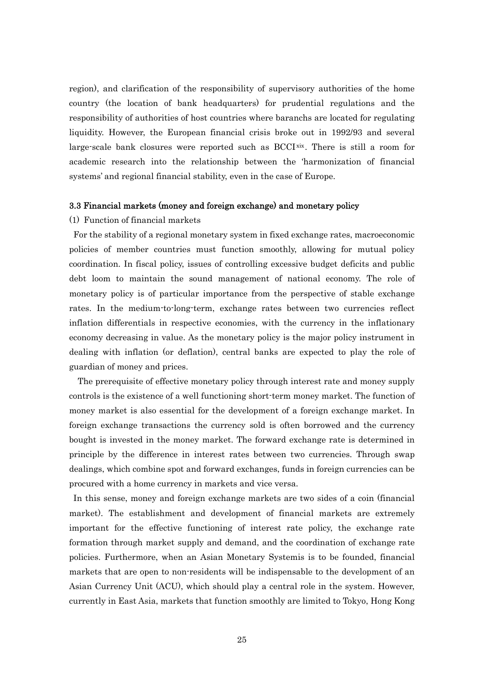region), and clarification of the responsibility of supervisory authorities of the home country (the location of bank headquarters) for prudential regulations and the responsibility of authorities of host countries where baranchs are located for regulating liquidity. However, the European financial crisis broke out in 1992/93 and several large-scale bank closures were reported such as BCCI<sup>[xix](#page-44-1)</sup>. There is still a room for academic research into the relationship between the 'harmonization of financial systems' and regional financial stability, even in the case of Europe.

#### 3.3 Financial markets (money and foreign exchange) and monetary policy

#### (1) Function of financial markets

For the stability of a regional monetary system in fixed exchange rates, macroeconomic policies of member countries must function smoothly, allowing for mutual policy coordination. In fiscal policy, issues of controlling excessive budget deficits and public debt loom to maintain the sound management of national economy. The role of monetary policy is of particular importance from the perspective of stable exchange rates. In the medium-to-long-term, exchange rates between two currencies reflect inflation differentials in respective economies, with the currency in the inflationary economy decreasing in value. As the monetary policy is the major policy instrument in dealing with inflation (or deflation), central banks are expected to play the role of guardian of money and prices.

The prerequisite of effective monetary policy through interest rate and money supply controls is the existence of a well functioning short-term money market. The function of money market is also essential for the development of a foreign exchange market. In foreign exchange transactions the currency sold is often borrowed and the currency bought is invested in the money market. The forward exchange rate is determined in principle by the difference in interest rates between two currencies. Through swap dealings, which combine spot and forward exchanges, funds in foreign currencies can be procured with a home currency in markets and vice versa.

In this sense, money and foreign exchange markets are two sides of a coin (financial market). The establishment and development of financial markets are extremely important for the effective functioning of interest rate policy, the exchange rate formation through market supply and demand, and the coordination of exchange rate policies. Furthermore, when an Asian Monetary Systemis is to be founded, financial markets that are open to non-residents will be indispensable to the development of an Asian Currency Unit (ACU), which should play a central role in the system. However, currently in East Asia, markets that function smoothly are limited to Tokyo, Hong Kong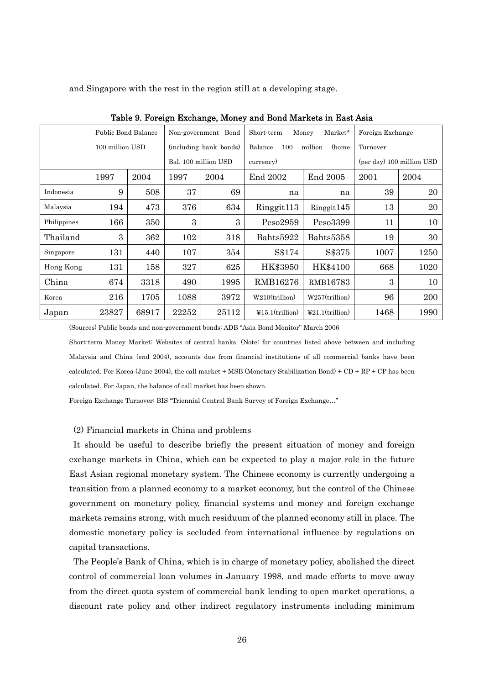and Singapore with the rest in the region still at a developing stage.

|             | Public Bond Balance |       |                      | Market*<br>Non-government Bond<br>Short-term<br>Money |                                    |                                          | Foreign Exchange          |          |  |  |
|-------------|---------------------|-------|----------------------|-------------------------------------------------------|------------------------------------|------------------------------------------|---------------------------|----------|--|--|
|             | 100 million USD     |       |                      | (including bank bonds)                                | million<br>(home<br>Balance<br>100 |                                          |                           | Turnover |  |  |
|             |                     |       | Bal. 100 million USD |                                                       | currency)                          |                                          | (per day) 100 million USD |          |  |  |
|             | 1997                | 2004  | 1997                 | 2004                                                  | End 2002<br>End 2005               |                                          | 2001                      | 2004     |  |  |
| Indonesia   | 9                   | 508   | 37                   | 69                                                    | na                                 | na                                       | 39                        | 20       |  |  |
| Malaysia    | 194                 | 473   | 376                  | 634                                                   | Ringgit <sup>113</sup>             | Ringgit145                               | 13                        | 20       |  |  |
| Philippines | 166                 | 350   | 3                    | 3                                                     | Pess2959                           | Peso3399                                 | 11                        | 10       |  |  |
| Thailand    | 3                   | 362   | 102                  | 318                                                   | Bahts5922                          | Bahts5358                                | 19                        | 30       |  |  |
| Singapore   | 131                 | 440   | 107                  | 354                                                   | S\$174                             | S\$375                                   | 1007                      | 1250     |  |  |
| Hong Kong   | 131                 | 158   | 327                  | 625                                                   | HK\$3950                           | HK\$4100                                 | 668                       | 1020     |  |  |
| China       | 674                 | 3318  | 490                  | 1995                                                  | RMB16276                           | RMB16783                                 |                           | 10       |  |  |
| Korea       | 216                 | 1705  | 1088                 | 3972                                                  | W210(trillion)<br>W257(trillion)   |                                          | 96                        | 200      |  |  |
| Japan       | 23827               | 68917 | 22252                | 25112                                                 | $\text{415.1}$ (trillion)          | $\text{\texttt{Y21.1}}(\text{trillion})$ | 1468                      | 1990     |  |  |

Table 9. Foreign Exchange, Money and Bond Markets in East Asia

(Sources) Public bonds and non-government bonds: ADB "Asia Bond Monitor" March 2006

Short-term Money Market: Websites of central banks. (Note: for countries listed above between and including Malaysia and China (end 2004), accounts due from financial institutions of all commercial banks have been calculated. For Korea (June 2004), the call market + MSB (Monetary Stabilization Bond) + CD + RP + CP has been calculated. For Japan, the balance of call market has been shown.

Foreign Exchange Turnover: BIS "Triennial Central Bank Survey of Foreign Exchange…"

#### (2) Financial markets in China and problems

It should be useful to describe briefly the present situation of money and foreign exchange markets in China, which can be expected to play a major role in the future East Asian regional monetary system. The Chinese economy is currently undergoing a transition from a planned economy to a market economy, but the control of the Chinese government on monetary policy, financial systems and money and foreign exchange markets remains strong, with much residuum of the planned economy still in place. The domestic monetary policy is secluded from international influence by regulations on capital transactions.

The People's Bank of China, which is in charge of monetary policy, abolished the direct control of commercial loan volumes in January 1998, and made efforts to move away from the direct quota system of commercial bank lending to open market operations, a discount rate policy and other indirect regulatory instruments including minimum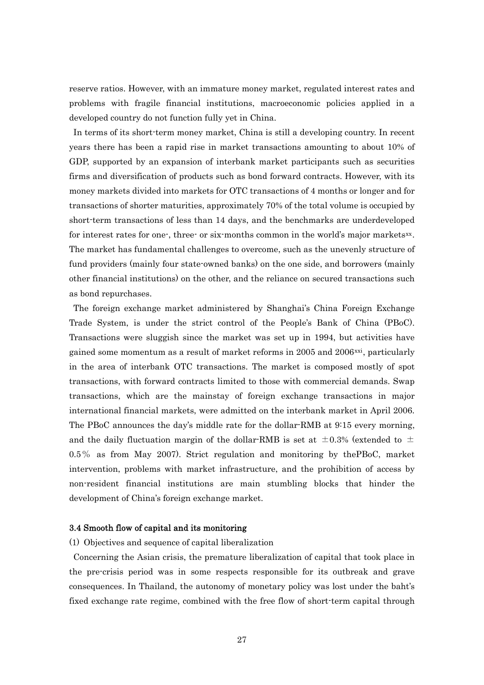reserve ratios. However, with an immature money market, regulated interest rates and problems with fragile financial institutions, macroeconomic policies applied in a developed country do not function fully yet in China.

In terms of its short-term money market, China is still a developing country. In recent years there has been a rapid rise in market transactions amounting to about 10% of GDP, supported by an expansion of interbank market participants such as securities firms and diversification of products such as bond forward contracts. However, with its money markets divided into markets for OTC transactions of 4 months or longer and for transactions of shorter maturities, approximately 70% of the total volume is occupied by short-term transactions of less than 14 days, and the benchmarks are underdeveloped for interest rates for one-, three- or six-months common in the world's major markets[xx](#page-44-1). The market has fundamental challenges to overcome, such as the unevenly structure of fund providers (mainly four state-owned banks) on the one side, and borrowers (mainly other financial institutions) on the other, and the reliance on secured transactions such as bond repurchases.

The foreign exchange market administered by Shanghai's China Foreign Exchange Trade System, is under the strict control of the People's Bank of China (PBoC). Transactions were sluggish since the market was set up in 1994, but activities have gained some momentum as a result of market reforms in 2005 and  $2006<sup>xxi</sup>$  $2006<sup>xxi</sup>$  $2006<sup>xxi</sup>$ , particularly in the area of interbank OTC transactions. The market is composed mostly of spot transactions, with forward contracts limited to those with commercial demands. Swap transactions, which are the mainstay of foreign exchange transactions in major international financial markets, were admitted on the interbank market in April 2006. The PBoC announces the day's middle rate for the dollar-RMB at 9:15 every morning, and the daily fluctuation margin of the dollar RMB is set at  $\pm 0.3\%$  (extended to  $\pm$ 0.5% as from May 2007). Strict regulation and monitoring by thePBoC, market intervention, problems with market infrastructure, and the prohibition of access by non-resident financial institutions are main stumbling blocks that hinder the development of China's foreign exchange market.

## 3.4 Smooth flow of capital and its monitoring

(1) Objectives and sequence of capital liberalization

Concerning the Asian crisis, the premature liberalization of capital that took place in the pre-crisis period was in some respects responsible for its outbreak and grave consequences. In Thailand, the autonomy of monetary policy was lost under the baht's fixed exchange rate regime, combined with the free flow of short-term capital through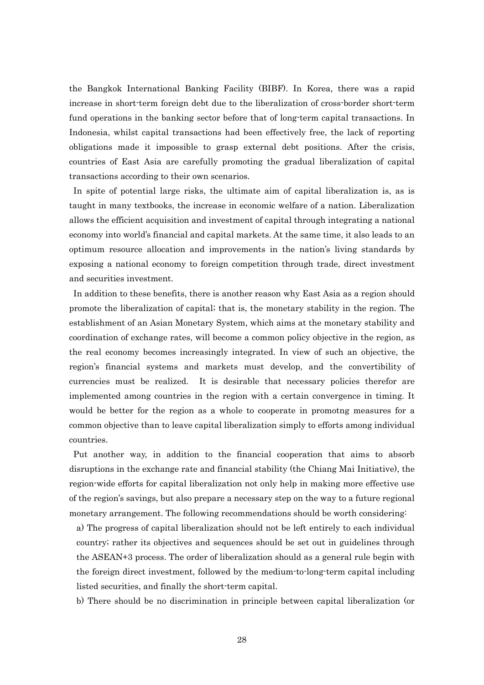the Bangkok International Banking Facility (BIBF). In Korea, there was a rapid increase in short-term foreign debt due to the liberalization of cross-border short-term fund operations in the banking sector before that of long-term capital transactions. In Indonesia, whilst capital transactions had been effectively free, the lack of reporting obligations made it impossible to grasp external debt positions. After the crisis, countries of East Asia are carefully promoting the gradual liberalization of capital transactions according to their own scenarios.

In spite of potential large risks, the ultimate aim of capital liberalization is, as is taught in many textbooks, the increase in economic welfare of a nation. Liberalization allows the efficient acquisition and investment of capital through integrating a national economy into world's financial and capital markets. At the same time, it also leads to an optimum resource allocation and improvements in the nation's living standards by exposing a national economy to foreign competition through trade, direct investment and securities investment.

In addition to these benefits, there is another reason why East Asia as a region should promote the liberalization of capital; that is, the monetary stability in the region. The establishment of an Asian Monetary System, which aims at the monetary stability and coordination of exchange rates, will become a common policy objective in the region, as the real economy becomes increasingly integrated. In view of such an objective, the region's financial systems and markets must develop, and the convertibility of currencies must be realized. It is desirable that necessary policies therefor are implemented among countries in the region with a certain convergence in timing. It would be better for the region as a whole to cooperate in promotng measures for a common objective than to leave capital liberalization simply to efforts among individual countries.

Put another way, in addition to the financial cooperation that aims to absorb disruptions in the exchange rate and financial stability (the Chiang Mai Initiative), the region-wide efforts for capital liberalization not only help in making more effective use of the region's savings, but also prepare a necessary step on the way to a future regional monetary arrangement. The following recommendations should be worth considering:

a) The progress of capital liberalization should not be left entirely to each individual country; rather its objectives and sequences should be set out in guidelines through the ASEAN+3 process. The order of liberalization should as a general rule begin with the foreign direct investment, followed by the medium-to-long-term capital including listed securities, and finally the short-term capital.

b) There should be no discrimination in principle between capital liberalization (or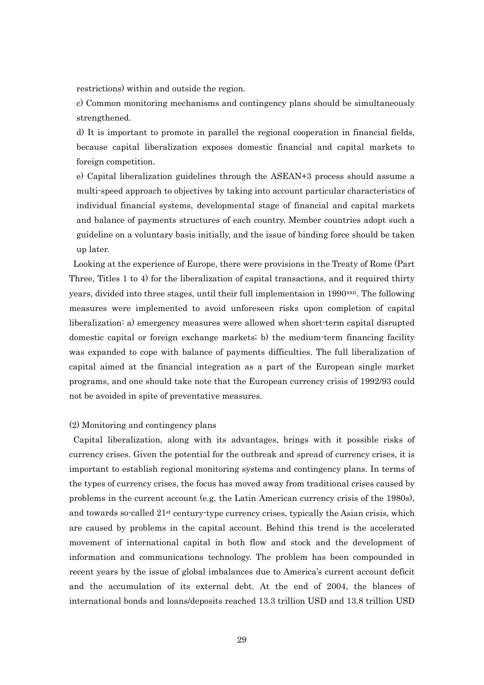restrictions) within and outside the region.

c) Common monitoring mechanisms and contingency plans should be simultaneously strengthened.

d) It is important to promote in parallel the regional cooperation in financial fields, because capital liberalization exposes domestic financial and capital markets to foreign competition.

e) Capital liberalization guidelines through the ASEAN+3 process should assume a multi-speed approach to objectives by taking into account particular characteristics of individual financial systems, developmental stage of financial and capital markets and balance of payments structures of each country. Member countries adopt such a guideline on a voluntary basis initially, and the issue of binding force should be taken up later.

Looking at the experience of Europe, there were provisions in the Treaty of Rome (Part Three, Titles 1 to 4) for the liberalization of capital transactions, and it required thirty years, divided into three stages, until their full implementaion in 1990<sup>xxii</sup>. The following measures were implemented to avoid unforeseen risks upon completion of capital liberalization: a) emergency measures were allowed when short-term capital disrupted domestic capital or foreign exchange markets; b) the medium-term financing facility was expanded to cope with balance of payments difficulties. The full liberalization of capital aimed at the financial integration as a part of the European single market programs, and one should take note that the European currency crisis of 1992/93 could not be avoided in spite of preventative measures.

#### (2) Monitoring and contingency plans

Capital liberalization, along with its advantages, brings with it possible risks of currency crises. Given the potential for the outbreak and spread of currency crises, it is important to establish regional monitoring systems and contingency plans. In terms of the types of currency crises, the focus has moved away from traditional crises caused by problems in the current account (e.g. the Latin American currency crisis of the 1980s), and towards so-called 21st century-type currency crises, typically the Asian crisis, which are caused by problems in the capital account. Behind this trend is the accelerated movement of international capital in both flow and stock and the development of information and communications technology. The problem has been compounded in recent years by the issue of global imbalances due to America's current account deficit and the accumulation of its external debt. At the end of 2004, the blances of international bonds and loans/deposits reached 13.3 trillion USD and 13.8 trillion USD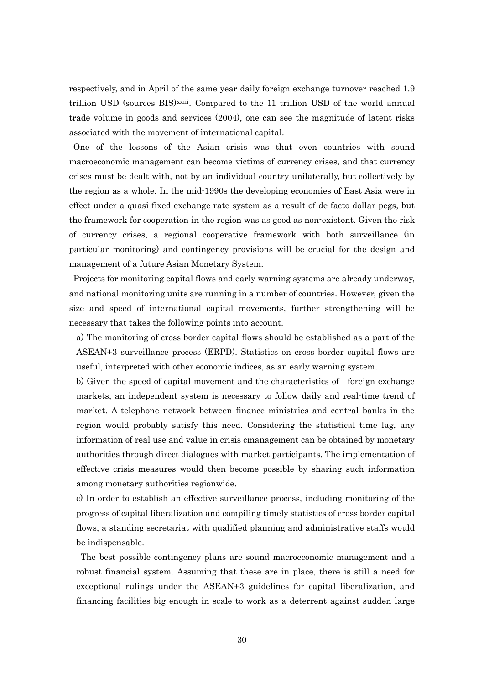respectively, and in April of the same year daily foreign exchange turnover reached 1.9 trillion USD (sources BIS)[xxiii](#page-44-1). Compared to the 11 trillion USD of the world annual trade volume in goods and services (2004), one can see the magnitude of latent risks associated with the movement of international capital.

One of the lessons of the Asian crisis was that even countries with sound macroeconomic management can become victims of currency crises, and that currency crises must be dealt with, not by an individual country unilaterally, but collectively by the region as a whole. In the mid-1990s the developing economies of East Asia were in effect under a quasi-fixed exchange rate system as a result of de facto dollar pegs, but the framework for cooperation in the region was as good as non-existent. Given the risk of currency crises, a regional cooperative framework with both surveillance (in particular monitoring) and contingency provisions will be crucial for the design and management of a future Asian Monetary System.

Projects for monitoring capital flows and early warning systems are already underway, and national monitoring units are running in a number of countries. However, given the size and speed of international capital movements, further strengthening will be necessary that takes the following points into account.

a) The monitoring of cross border capital flows should be established as a part of the ASEAN+3 surveillance process (ERPD). Statistics on cross border capital flows are useful, interpreted with other economic indices, as an early warning system.

b) Given the speed of capital movement and the characteristics of foreign exchange markets, an independent system is necessary to follow daily and real-time trend of market. A telephone network between finance ministries and central banks in the region would probably satisfy this need. Considering the statistical time lag, any information of real use and value in crisis cmanagement can be obtained by monetary authorities through direct dialogues with market participants. The implementation of effective crisis measures would then become possible by sharing such information among monetary authorities regionwide.

c) In order to establish an effective surveillance process, including monitoring of the progress of capital liberalization and compiling timely statistics of cross border capital flows, a standing secretariat with qualified planning and administrative staffs would be indispensable.

The best possible contingency plans are sound macroeconomic management and a robust financial system. Assuming that these are in place, there is still a need for exceptional rulings under the ASEAN+3 guidelines for capital liberalization, and financing facilities big enough in scale to work as a deterrent against sudden large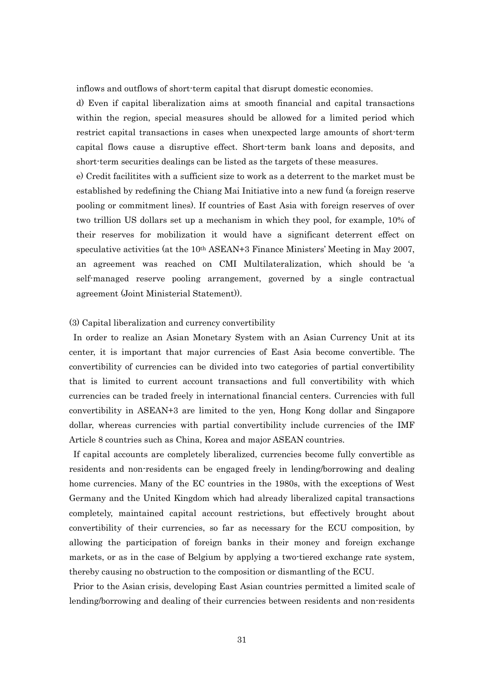inflows and outflows of short-term capital that disrupt domestic economies.

d) Even if capital liberalization aims at smooth financial and capital transactions within the region, special measures should be allowed for a limited period which restrict capital transactions in cases when unexpected large amounts of short-term capital flows cause a disruptive effect. Short-term bank loans and deposits, and short-term securities dealings can be listed as the targets of these measures.

e) Credit facilitites with a sufficient size to work as a deterrent to the market must be established by redefining the Chiang Mai Initiative into a new fund (a foreign reserve pooling or commitment lines). If countries of East Asia with foreign reserves of over two trillion US dollars set up a mechanism in which they pool, for example, 10% of their reserves for mobilization it would have a significant deterrent effect on speculative activities (at the 10th ASEAN+3 Finance Ministers' Meeting in May 2007, an agreement was reached on CMI Multilateralization, which should be 'a self-managed reserve pooling arrangement, governed by a single contractual agreement (Joint Ministerial Statement)).

#### (3) Capital liberalization and currency convertibility

In order to realize an Asian Monetary System with an Asian Currency Unit at its center, it is important that major currencies of East Asia become convertible. The convertibility of currencies can be divided into two categories of partial convertibility that is limited to current account transactions and full convertibility with which currencies can be traded freely in international financial centers. Currencies with full convertibility in ASEAN+3 are limited to the yen, Hong Kong dollar and Singapore dollar, whereas currencies with partial convertibility include currencies of the IMF Article 8 countries such as China, Korea and major ASEAN countries.

If capital accounts are completely liberalized, currencies become fully convertible as residents and non-residents can be engaged freely in lending/borrowing and dealing home currencies. Many of the EC countries in the 1980s, with the exceptions of West Germany and the United Kingdom which had already liberalized capital transactions completely, maintained capital account restrictions, but effectively brought about convertibility of their currencies, so far as necessary for the ECU composition, by allowing the participation of foreign banks in their money and foreign exchange markets, or as in the case of Belgium by applying a two-tiered exchange rate system, thereby causing no obstruction to the composition or dismantling of the ECU.

Prior to the Asian crisis, developing East Asian countries permitted a limited scale of lending/borrowing and dealing of their currencies between residents and non-residents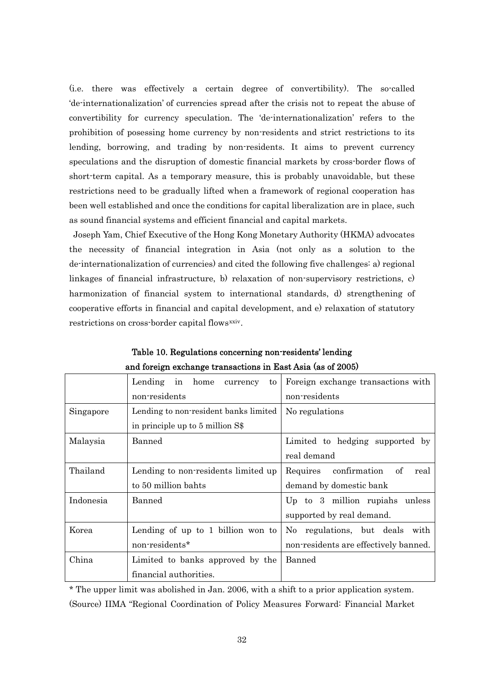(i.e. there was effectively a certain degree of convertibility). The so-called 'de-internationalization' of currencies spread after the crisis not to repeat the abuse of convertibility for currency speculation. The 'de-internationalization' refers to the prohibition of posessing home currency by non-residents and strict restrictions to its lending, borrowing, and trading by non-residents. It aims to prevent currency speculations and the disruption of domestic financial markets by cross-border flows of short-term capital. As a temporary measure, this is probably unavoidable, but these restrictions need to be gradually lifted when a framework of regional cooperation has been well established and once the conditions for capital liberalization are in place, such as sound financial systems and efficient financial and capital markets.

Joseph Yam, Chief Executive of the Hong Kong Monetary Authority (HKMA) advocates the necessity of financial integration in Asia (not only as a solution to the de-internationalization of currencies) and cited the following five challenges: a) regional linkages of financial infrastructure, b) relaxation of non-supervisory restrictions, c) harmonization of financial system to international standards, d) strengthening of cooperative efforts in financial and capital development, and e) relaxation of statutory restrictions on cross-border capital flows<sup>[xxiv](#page-44-1)</sup>.

|           | Lending in home<br>to<br>currency     | Foreign exchange transactions with    |
|-----------|---------------------------------------|---------------------------------------|
|           | non-residents                         | non-residents                         |
| Singapore | Lending to non-resident banks limited | No regulations                        |
|           | in principle up to 5 million S\$      |                                       |
| Malaysia  | <b>Banned</b>                         | Limited to hedging supported by       |
|           |                                       | real demand                           |
| Thailand  | Lending to non-residents limited up   | confirmation of<br>Requires<br>real   |
|           | to 50 million bahts                   | demand by domestic bank               |
| Indonesia | Banned                                | Up to 3 million rupiahs unless        |
|           |                                       | supported by real demand.             |
| Korea     | Lending of up to 1 billion won to     | No regulations, but deals<br>with     |
|           | non-residents*                        | non-residents are effectively banned. |
| China     | Limited to banks approved by the      | <b>Banned</b>                         |
|           | financial authorities.                |                                       |

Table 10. Regulations concerning non-residents' lending and foreign exchange transactions in East Asia (as of 2005)

\* The upper limit was abolished in Jan. 2006, with a shift to a prior application system. (Source) IIMA "Regional Coordination of Policy Measures Forward: Financial Market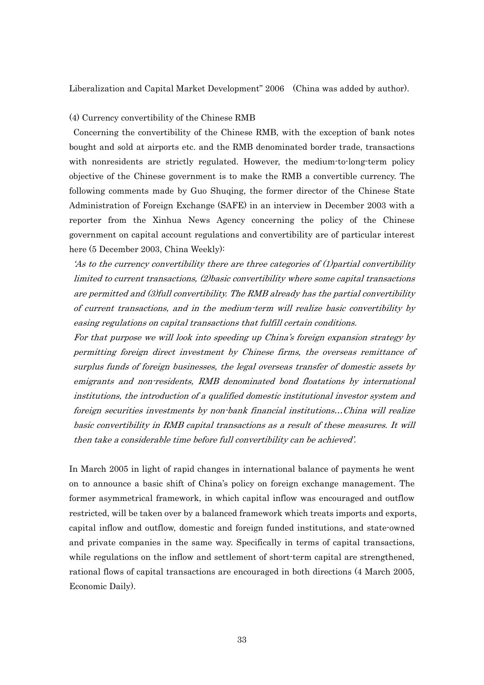Liberalization and Capital Market Development" 2006 (China was added by author).

#### (4) Currency convertibility of the Chinese RMB

Concerning the convertibility of the Chinese RMB, with the exception of bank notes bought and sold at airports etc. and the RMB denominated border trade, transactions with nonresidents are strictly regulated. However, the medium-to-long-term policy objective of the Chinese government is to make the RMB a convertible currency. The following comments made by Guo Shuqing, the former director of the Chinese State Administration of Foreign Exchange (SAFE) in an interview in December 2003 with a reporter from the Xinhua News Agency concerning the policy of the Chinese government on capital account regulations and convertibility are of particular interest here (5 December 2003, China Weekly):

'As to the currency convertibility there are three categories of (1)partial convertibility limited to current transactions, (2)basic convertibility where some capital transactions are permitted and (3)full convertibility. The RMB already has the partial convertibility of current transactions, and in the medium-term will realize basic convertibility by easing regulations on capital transactions that fulfill certain conditions.

For that purpose we will look into speeding up China's foreign expansion strategy by permitting foreign direct investment by Chinese firms, the overseas remittance of surplus funds of foreign businesses, the legal overseas transfer of domestic assets by emigrants and non-residents, RMB denominated bond floatations by international institutions, the introduction of a qualified domestic institutional investor system and foreign securities investments by non-bank financial institutions…China will realize basic convertibility in RMB capital transactions as a result of these measures. It will then take a considerable time before full convertibility can be achieved'.

In March 2005 in light of rapid changes in international balance of payments he went on to announce a basic shift of China's policy on foreign exchange management. The former asymmetrical framework, in which capital inflow was encouraged and outflow restricted, will be taken over by a balanced framework which treats imports and exports, capital inflow and outflow, domestic and foreign funded institutions, and state-owned and private companies in the same way. Specifically in terms of capital transactions, while regulations on the inflow and settlement of short-term capital are strengthened, rational flows of capital transactions are encouraged in both directions (4 March 2005, Economic Daily).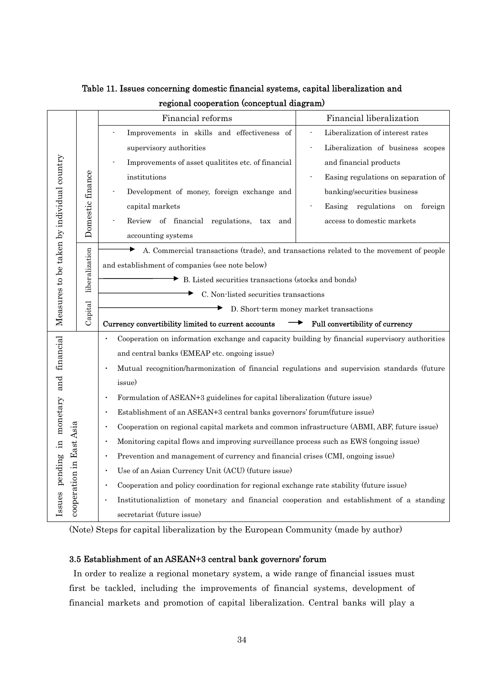|                                                                      |                  | Financial reforms                                                                                        | Financial liberalization                |  |  |                         |                                   |
|----------------------------------------------------------------------|------------------|----------------------------------------------------------------------------------------------------------|-----------------------------------------|--|--|-------------------------|-----------------------------------|
|                                                                      |                  | Improvements in skills and effectiveness of                                                              | Liberalization of interest rates        |  |  |                         |                                   |
|                                                                      |                  |                                                                                                          |                                         |  |  | supervisory authorities | Liberalization of business scopes |
|                                                                      |                  | Improvements of asset qualitites etc. of financial                                                       | and financial products                  |  |  |                         |                                   |
|                                                                      |                  | institutions                                                                                             | Easing regulations on separation of     |  |  |                         |                                   |
|                                                                      |                  | Development of money, foreign exchange and                                                               | banking/securities business             |  |  |                         |                                   |
|                                                                      | Domestic finance | capital markets                                                                                          | Easing regulations on<br>foreign        |  |  |                         |                                   |
|                                                                      |                  | Review of financial regulations,<br>$\rm{tax}$<br>and                                                    | access to domestic markets              |  |  |                         |                                   |
| Measures to be taken by individual country                           |                  | accounting systems                                                                                       |                                         |  |  |                         |                                   |
|                                                                      |                  | A. Commercial transactions (trade), and transactions related to the movement of people                   |                                         |  |  |                         |                                   |
|                                                                      | liberalization   | and establishment of companies (see note below)                                                          |                                         |  |  |                         |                                   |
|                                                                      |                  | B. Listed securities transactions (stocks and bonds)                                                     |                                         |  |  |                         |                                   |
|                                                                      |                  | C. Non-listed securities transactions                                                                    |                                         |  |  |                         |                                   |
|                                                                      | Capital          |                                                                                                          | D. Short-term money market transactions |  |  |                         |                                   |
|                                                                      |                  |                                                                                                          |                                         |  |  |                         |                                   |
|                                                                      |                  | Currency convertibility limited to current accounts                                                      | Full convertibility of currency         |  |  |                         |                                   |
|                                                                      |                  | Cooperation on information exchange and capacity building by financial supervisory authorities           |                                         |  |  |                         |                                   |
|                                                                      |                  | and central banks (EMEAP etc. ongoing issue)                                                             |                                         |  |  |                         |                                   |
|                                                                      |                  | Mutual recognition/harmonization of financial regulations and supervision standards (future              |                                         |  |  |                         |                                   |
|                                                                      |                  | issue)                                                                                                   |                                         |  |  |                         |                                   |
|                                                                      |                  | Formulation of ASEAN+3 guidelines for capital liberalization (future issue)                              |                                         |  |  |                         |                                   |
|                                                                      |                  | Establishment of an ASEAN+3 central banks governors' forum(future issue)                                 |                                         |  |  |                         |                                   |
|                                                                      |                  | Cooperation on regional capital markets and common infrastructure (ABMI, ABF, future issue)<br>$\bullet$ |                                         |  |  |                         |                                   |
|                                                                      |                  | Monitoring capital flows and improving surveillance process such as EWS (ongoing issue)<br>$\bullet$     |                                         |  |  |                         |                                   |
|                                                                      |                  | Prevention and management of currency and financial crises (CMI, ongoing issue)<br>$\bullet$             |                                         |  |  |                         |                                   |
|                                                                      |                  | Use of an Asian Currency Unit (ACU) (future issue)<br>$\bullet$                                          |                                         |  |  |                         |                                   |
|                                                                      |                  | Cooperation and policy coordination for regional exchange rate stability (future issue)                  |                                         |  |  |                         |                                   |
| Issues pending in monetary and financial<br>cooperation in East Asia |                  | Institutionaliztion of monetary and financial cooperation and establishment of a standing<br>$\bullet$   |                                         |  |  |                         |                                   |

Table 11. Issues concerning domestic financial systems, capital liberalization and regional cooperation (conceptual diagram)

(Note) Steps for capital liberalization by the European Community (made by author)

## 3.5 Establishment of an ASEAN+3 central bank governors' forum

In order to realize a regional monetary system, a wide range of financial issues must first be tackled, including the improvements of financial systems, development of financial markets and promotion of capital liberalization. Central banks will play a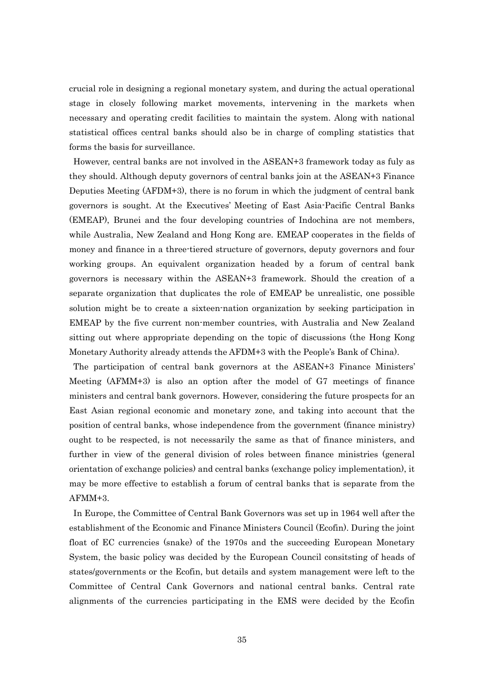crucial role in designing a regional monetary system, and during the actual operational stage in closely following market movements, intervening in the markets when necessary and operating credit facilities to maintain the system. Along with national statistical offices central banks should also be in charge of compling statistics that forms the basis for surveillance.

However, central banks are not involved in the ASEAN+3 framework today as fuly as they should. Although deputy governors of central banks join at the ASEAN+3 Finance Deputies Meeting (AFDM+3), there is no forum in which the judgment of central bank governors is sought. At the Executives' Meeting of East Asia-Pacific Central Banks (EMEAP), Brunei and the four developing countries of Indochina are not members, while Australia, New Zealand and Hong Kong are. EMEAP cooperates in the fields of money and finance in a three-tiered structure of governors, deputy governors and four working groups. An equivalent organization headed by a forum of central bank governors is necessary within the ASEAN+3 framework. Should the creation of a separate organization that duplicates the role of EMEAP be unrealistic, one possible solution might be to create a sixteen-nation organization by seeking participation in EMEAP by the five current non-member countries, with Australia and New Zealand sitting out where appropriate depending on the topic of discussions (the Hong Kong Monetary Authority already attends the AFDM+3 with the People's Bank of China).

The participation of central bank governors at the ASEAN+3 Finance Ministers' Meeting (AFMM+3) is also an option after the model of G7 meetings of finance ministers and central bank governors. However, considering the future prospects for an East Asian regional economic and monetary zone, and taking into account that the position of central banks, whose independence from the government (finance ministry) ought to be respected, is not necessarily the same as that of finance ministers, and further in view of the general division of roles between finance ministries (general orientation of exchange policies) and central banks (exchange policy implementation), it may be more effective to establish a forum of central banks that is separate from the AFMM+3.

In Europe, the Committee of Central Bank Governors was set up in 1964 well after the establishment of the Economic and Finance Ministers Council (Ecofin). During the joint float of EC currencies (snake) of the 1970s and the succeeding European Monetary System, the basic policy was decided by the European Council consitsting of heads of states/governments or the Ecofin, but details and system management were left to the Committee of Central Cank Governors and national central banks. Central rate alignments of the currencies participating in the EMS were decided by the Ecofin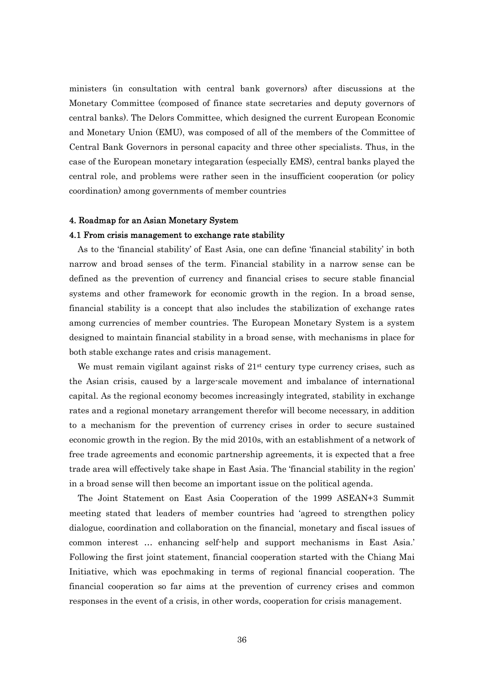ministers (in consultation with central bank governors) after discussions at the Monetary Committee (composed of finance state secretaries and deputy governors of central banks). The Delors Committee, which designed the current European Economic and Monetary Union (EMU), was composed of all of the members of the Committee of Central Bank Governors in personal capacity and three other specialists. Thus, in the case of the European monetary integaration (especially EMS), central banks played the central role, and problems were rather seen in the insufficient cooperation (or policy coordination) among governments of member countries

#### 4. Roadmap for an Asian Monetary System

#### 4.1 From crisis management to exchange rate stability

As to the 'financial stability' of East Asia, one can define 'financial stability' in both narrow and broad senses of the term. Financial stability in a narrow sense can be defined as the prevention of currency and financial crises to secure stable financial systems and other framework for economic growth in the region. In a broad sense, financial stability is a concept that also includes the stabilization of exchange rates among currencies of member countries. The European Monetary System is a system designed to maintain financial stability in a broad sense, with mechanisms in place for both stable exchange rates and crisis management.

We must remain vigilant against risks of  $21<sup>st</sup>$  century type currency crises, such as the Asian crisis, caused by a large-scale movement and imbalance of international capital. As the regional economy becomes increasingly integrated, stability in exchange rates and a regional monetary arrangement therefor will become necessary, in addition to a mechanism for the prevention of currency crises in order to secure sustained economic growth in the region. By the mid 2010s, with an establishment of a network of free trade agreements and economic partnership agreements, it is expected that a free trade area will effectively take shape in East Asia. The 'financial stability in the region' in a broad sense will then become an important issue on the political agenda.

The Joint Statement on East Asia Cooperation of the 1999 ASEAN+3 Summit meeting stated that leaders of member countries had 'agreed to strengthen policy dialogue, coordination and collaboration on the financial, monetary and fiscal issues of common interest … enhancing self-help and support mechanisms in East Asia.' Following the first joint statement, financial cooperation started with the Chiang Mai Initiative, which was epochmaking in terms of regional financial cooperation. The financial cooperation so far aims at the prevention of currency crises and common responses in the event of a crisis, in other words, cooperation for crisis management.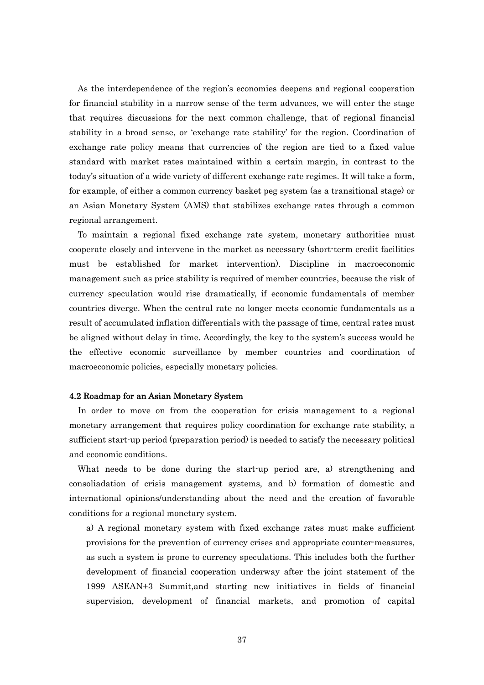As the interdependence of the region's economies deepens and regional cooperation for financial stability in a narrow sense of the term advances, we will enter the stage that requires discussions for the next common challenge, that of regional financial stability in a broad sense, or 'exchange rate stability' for the region. Coordination of exchange rate policy means that currencies of the region are tied to a fixed value standard with market rates maintained within a certain margin, in contrast to the today's situation of a wide variety of different exchange rate regimes. It will take a form, for example, of either a common currency basket peg system (as a transitional stage) or an Asian Monetary System (AMS) that stabilizes exchange rates through a common regional arrangement.

To maintain a regional fixed exchange rate system, monetary authorities must cooperate closely and intervene in the market as necessary (short-term credit facilities must be established for market intervention). Discipline in macroeconomic management such as price stability is required of member countries, because the risk of currency speculation would rise dramatically, if economic fundamentals of member countries diverge. When the central rate no longer meets economic fundamentals as a result of accumulated inflation differentials with the passage of time, central rates must be aligned without delay in time. Accordingly, the key to the system's success would be the effective economic surveillance by member countries and coordination of macroeconomic policies, especially monetary policies.

#### 4.2 Roadmap for an Asian Monetary System

In order to move on from the cooperation for crisis management to a regional monetary arrangement that requires policy coordination for exchange rate stability, a sufficient start-up period (preparation period) is needed to satisfy the necessary political and economic conditions.

What needs to be done during the start-up period are, a) strengthening and consoliadation of crisis management systems, and b) formation of domestic and international opinions/understanding about the need and the creation of favorable conditions for a regional monetary system.

a) A regional monetary system with fixed exchange rates must make sufficient provisions for the prevention of currency crises and appropriate counter-measures, as such a system is prone to currency speculations. This includes both the further development of financial cooperation underway after the joint statement of the 1999 ASEAN+3 Summit,and starting new initiatives in fields of financial supervision, development of financial markets, and promotion of capital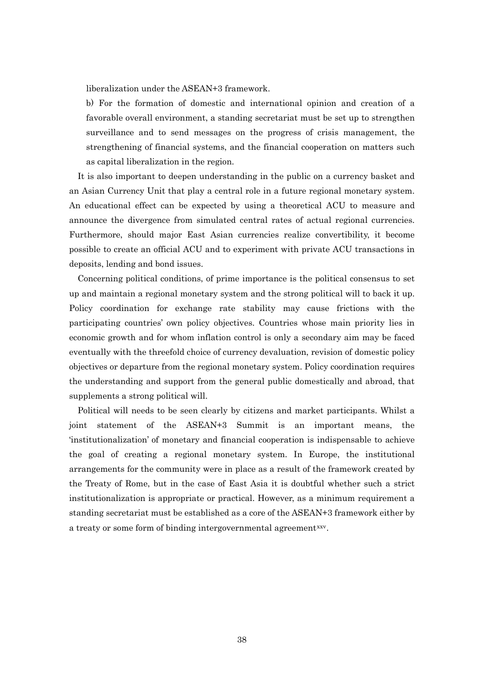liberalization under the ASEAN+3 framework.

b) For the formation of domestic and international opinion and creation of a favorable overall environment, a standing secretariat must be set up to strengthen surveillance and to send messages on the progress of crisis management, the strengthening of financial systems, and the financial cooperation on matters such as capital liberalization in the region.

It is also important to deepen understanding in the public on a currency basket and an Asian Currency Unit that play a central role in a future regional monetary system. An educational effect can be expected by using a theoretical ACU to measure and announce the divergence from simulated central rates of actual regional currencies. Furthermore, should major East Asian currencies realize convertibility, it become possible to create an official ACU and to experiment with private ACU transactions in deposits, lending and bond issues.

Concerning political conditions, of prime importance is the political consensus to set up and maintain a regional monetary system and the strong political will to back it up. Policy coordination for exchange rate stability may cause frictions with the participating countries' own policy objectives. Countries whose main priority lies in economic growth and for whom inflation control is only a secondary aim may be faced eventually with the threefold choice of currency devaluation, revision of domestic policy objectives or departure from the regional monetary system. Policy coordination requires the understanding and support from the general public domestically and abroad, that supplements a strong political will.

Political will needs to be seen clearly by citizens and market participants. Whilst a joint statement of the ASEAN+3 Summit is an important means, the 'institutionalization' of monetary and financial cooperation is indispensable to achieve the goal of creating a regional monetary system. In Europe, the institutional arrangements for the community were in place as a result of the framework created by the Treaty of Rome, but in the case of East Asia it is doubtful whether such a strict institutionalization is appropriate or practical. However, as a minimum requirement a standing secretariat must be established as a core of the ASEAN+3 framework either by a treaty or some form of binding intergovernmental agreement<sup>[xxv](#page-44-1)</sup>.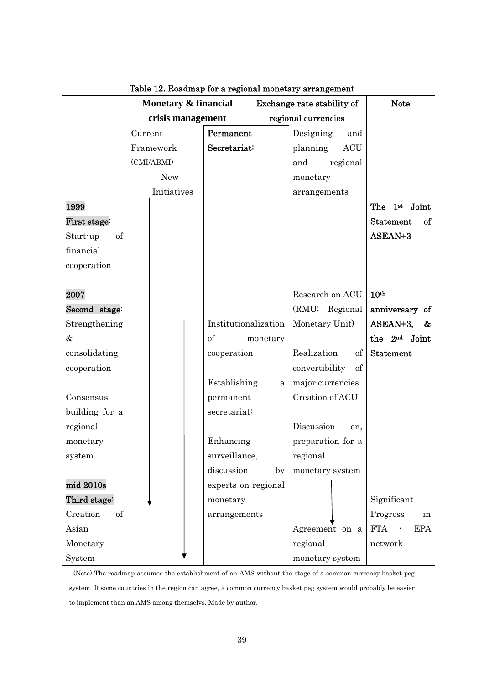|                | Monetary & financial |                      |          | Exchange rate stability of | <b>Note</b>                                |
|----------------|----------------------|----------------------|----------|----------------------------|--------------------------------------------|
|                | crisis management    |                      |          | regional currencies        |                                            |
|                | Current              | Permanent            |          | Designing<br>and           |                                            |
|                | Framework            | Secretariat:         |          | <b>ACU</b><br>planning     |                                            |
|                | (CMI/ABMI)           |                      |          | regional<br>and            |                                            |
|                | <b>New</b>           |                      |          | monetary                   |                                            |
|                | Initiatives          |                      |          | arrangements               |                                            |
| 1999           |                      |                      |          |                            | 1st Joint<br>The                           |
| First stage:   |                      |                      |          |                            | <b>Statement</b><br>of                     |
| of<br>Start-up |                      |                      |          |                            | ASEAN+3                                    |
| financial      |                      |                      |          |                            |                                            |
| cooperation    |                      |                      |          |                            |                                            |
|                |                      |                      |          |                            |                                            |
| 2007           |                      |                      |          | Research on ACU            | 10 <sup>th</sup>                           |
| Second stage:  |                      |                      |          | (RMU: Regional             | anniversary of                             |
| Strengthening  |                      | Institutionalization |          | Monetary Unit)             | ASEAN+3,<br>&                              |
| $\&$           |                      | of                   | monetary |                            | the 2 <sup>nd</sup> Joint                  |
| consolidating  |                      | cooperation          |          | Realization<br>of          | <b>Statement</b>                           |
| cooperation    |                      |                      |          | convertibility<br>of       |                                            |
|                |                      | Establishing         | a        | major currencies           |                                            |
| Consensus      |                      | permanent            |          | Creation of ACU            |                                            |
| building for a |                      | secretariat:         |          |                            |                                            |
| regional       |                      |                      |          | Discussion<br>on,          |                                            |
| monetary       |                      | Enhancing            |          | preparation for a          |                                            |
| system         |                      | surveillance,        |          | regional                   |                                            |
|                |                      | discussion           | by       | monetary system            |                                            |
| mid 2010s      |                      | experts on regional  |          |                            |                                            |
| Third stage:   |                      | monetary             |          |                            | Significant                                |
| Creation<br>of |                      | arrangements         |          |                            | Progress<br>in                             |
| Asian          |                      |                      |          | Agreement on a             | <b>FTA</b><br><b>EPA</b><br>$\blacksquare$ |
| Monetary       |                      |                      |          | regional                   | network                                    |
| System         |                      |                      |          | monetary system            |                                            |

Table 12. Roadmap for a regional monetary arrangement

(Note) The roadmap assumes the establishment of an AMS without the stage of a common currency basket peg system. If some countries in the region can agree, a common currency basket peg system would probably be easier to implement than an AMS among themselvs. Made by author.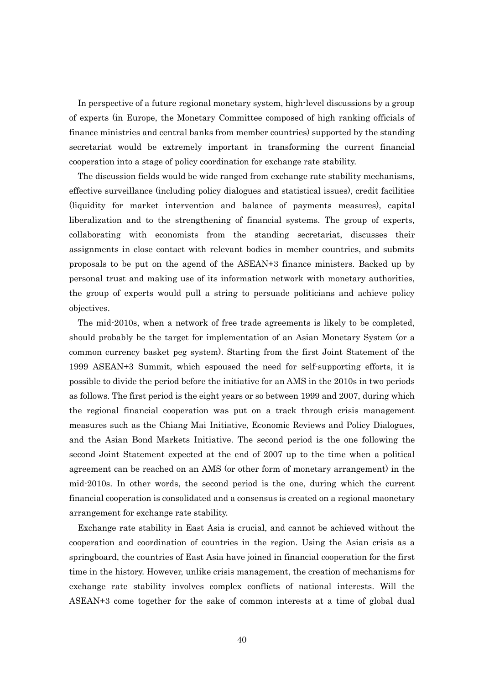In perspective of a future regional monetary system, high-level discussions by a group of experts (in Europe, the Monetary Committee composed of high ranking officials of finance ministries and central banks from member countries) supported by the standing secretariat would be extremely important in transforming the current financial cooperation into a stage of policy coordination for exchange rate stability.

The discussion fields would be wide ranged from exchange rate stability mechanisms, effective surveillance (including policy dialogues and statistical issues), credit facilities (liquidity for market intervention and balance of payments measures), capital liberalization and to the strengthening of financial systems. The group of experts, collaborating with economists from the standing secretariat, discusses their assignments in close contact with relevant bodies in member countries, and submits proposals to be put on the agend of the ASEAN+3 finance ministers. Backed up by personal trust and making use of its information network with monetary authorities, the group of experts would pull a string to persuade politicians and achieve policy objectives.

The mid-2010s, when a network of free trade agreements is likely to be completed, should probably be the target for implementation of an Asian Monetary System (or a common currency basket peg system). Starting from the first Joint Statement of the 1999 ASEAN+3 Summit, which espoused the need for self-supporting efforts, it is possible to divide the period before the initiative for an AMS in the 2010s in two periods as follows. The first period is the eight years or so between 1999 and 2007, during which the regional financial cooperation was put on a track through crisis management measures such as the Chiang Mai Initiative, Economic Reviews and Policy Dialogues, and the Asian Bond Markets Initiative. The second period is the one following the second Joint Statement expected at the end of 2007 up to the time when a political agreement can be reached on an AMS (or other form of monetary arrangement) in the mid-2010s. In other words, the second period is the one, during which the current financial cooperation is consolidated and a consensus is created on a regional maonetary arrangement for exchange rate stability.

Exchange rate stability in East Asia is crucial, and cannot be achieved without the cooperation and coordination of countries in the region. Using the Asian crisis as a springboard, the countries of East Asia have joined in financial cooperation for the first time in the history. However, unlike crisis management, the creation of mechanisms for exchange rate stability involves complex conflicts of national interests. Will the ASEAN+3 come together for the sake of common interests at a time of global dual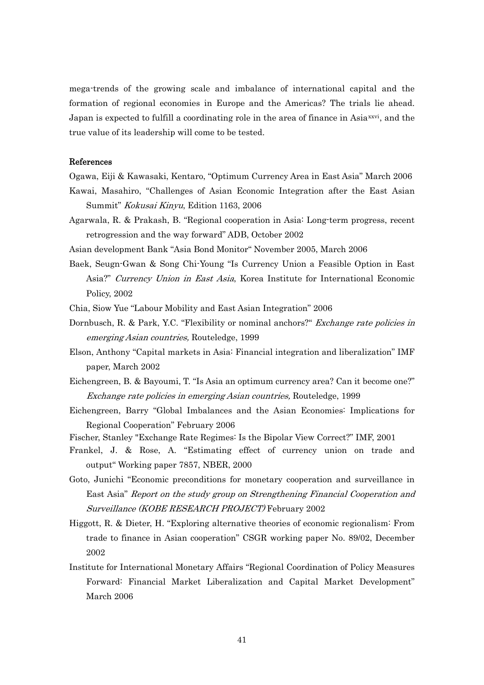mega-trends of the growing scale and imbalance of international capital and the formation of regional economies in Europe and the Americas? The trials lie ahead. Japan is expected to fulfill a coordinating role in the area of finance in Asia<sup>[xxvi](#page-44-1)</sup>, and the true value of its leadership will come to be tested.

#### References

- Ogawa, Eiji & Kawasaki, Kentaro, "Optimum Currency Area in East Asia" March 2006
- Kawai, Masahiro, "Challenges of Asian Economic Integration after the East Asian Summit" Kokusai Kinyu, Edition 1163, 2006
- Agarwala, R. & Prakash, B. "Regional cooperation in Asia: Long-term progress, recent retrogression and the way forward" ADB, October 2002
- Asian development Bank "Asia Bond Monitor" November 2005, March 2006
- Baek, Seugn-Gwan & Song Chi-Young "Is Currency Union a Feasible Option in East Asia?" Currency Union in East Asia, Korea Institute for International Economic Policy, 2002
- Chia, Siow Yue "Labour Mobility and East Asian Integration" 2006
- Dornbusch, R. & Park, Y.C. "Flexibility or nominal anchors?" Exchange rate policies in emerging Asian countries, Routeledge, 1999
- Elson, Anthony "Capital markets in Asia: Financial integration and liberalization" IMF paper, March 2002
- Eichengreen, B. & Bayoumi, T. "Is Asia an optimum currency area? Can it become one?" Exchange rate policies in emerging Asian countries, Routeledge, 1999
- Eichengreen, Barry "Global Imbalances and the Asian Economies: Implications for Regional Cooperation" February 2006
- Fischer, Stanley "Exchange Rate Regimes: Is the Bipolar View Correct?" IMF, 2001
- Frankel, J. & Rose, A. "Estimating effect of currency union on trade and output" Working paper 7857, NBER, 2000
- Goto, Junichi "Economic preconditions for monetary cooperation and surveillance in East Asia" Report on the study group on Strengthening Financial Cooperation and Surveillance (KOBE RESEARCH PROJECT) February 2002
- Higgott, R. & Dieter, H. "Exploring alternative theories of economic regionalism: From trade to finance in Asian cooperation" CSGR working paper No. 89/02, December 2002
- Institute for International Monetary Affairs "Regional Coordination of Policy Measures Forward: Financial Market Liberalization and Capital Market Development" March 2006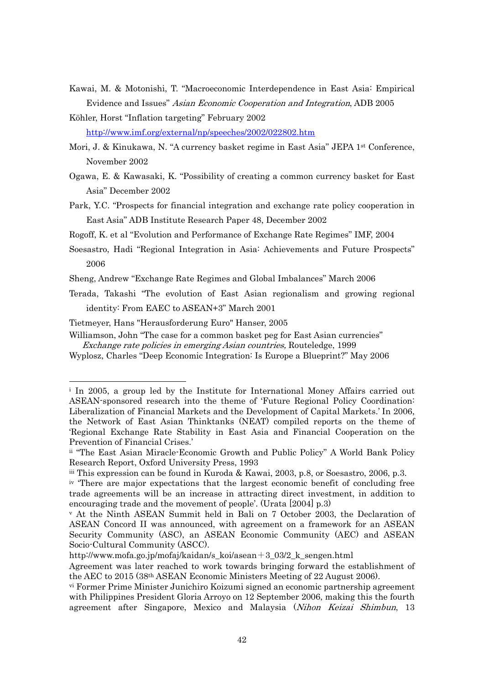- Kawai, M. & Motonishi, T. "Macroeconomic Interdependence in East Asia: Empirical Evidence and Issues" Asian Economic Cooperation and Integration, ADB 2005
- Köhler, Horst "Inflation targeting" February 2002 <http://www.imf.org/external/np/speeches/2002/022802.htm>
- Mori, J. & Kinukawa, N. "A currency basket regime in East Asia" JEPA 1st Conference, November 2002
- Ogawa, E. & Kawasaki, K. "Possibility of creating a common currency basket for East Asia" December 2002
- Park, Y.C. "Prospects for financial integration and exchange rate policy cooperation in East Asia" ADB Institute Research Paper 48, December 2002

Rogoff, K. et al "Evolution and Performance of Exchange Rate Regimes" IMF, 2004

Soesastro, Hadi "Regional Integration in Asia: Achievements and Future Prospects" 2006

Sheng, Andrew "Exchange Rate Regimes and Global Imbalances" March 2006

Terada, Takashi "The evolution of East Asian regionalism and growing regional identity: From EAEC to ASEAN+3" March 2001

Tietmeyer, Hans "Herausforderung Euro" Hanser, 2005

-

Williamson, John "The case for a common basket peg for East Asian currencies" Exchange rate policies in emerging Asian countries, Routeledge, 1999

Wyplosz, Charles "Deep Economic Integration: Is Europe a Blueprint?" May 2006

i In 2005, a group led by the Institute for International Money Affairs carried out ASEAN-sponsored research into the theme of 'Future Regional Policy Coordination: Liberalization of Financial Markets and the Development of Capital Markets.' In 2006, the Network of East Asian Thinktanks (NEAT) compiled reports on the theme of 'Regional Exchange Rate Stability in East Asia and Financial Cooperation on the Prevention of Financial Crises.'

ii "The East Asian Miracle-Economic Growth and Public Policy" A World Bank Policy Research Report, Oxford University Press, 1993

iii This expression can be found in Kuroda & Kawai, 2003, p.8, or Soesastro, 2006, p.3.

iv 'There are major expectations that the largest economic benefit of concluding free trade agreements will be an increase in attracting direct investment, in addition to encouraging trade and the movement of people'. (Urata  $[2004]$  p.3)<br>v At the Ninth ASEAN Summit held in Bali on 7 October 2003, the Declaration of

ASEAN Concord II was announced, with agreement on a framework for an ASEAN Security Community (ASC), an ASEAN Economic Community (AEC) and ASEAN Socio-Cultural Community (ASCC).

http://www.mofa.go.jp/mofaj/kaidan/s\_koi/asean+3\_03/2\_k\_sengen.html

Agreement was later reached to work towards bringing forward the establishment of the AEC to 2015 (38th ASEAN Economic Ministers Meeting of 22 August 2006).

vi Former Prime Minister Junichiro Koizumi signed an economic partnership agreement with Philippines President Gloria Arroyo on 12 September 2006, making this the fourth agreement after Singapore, Mexico and Malaysia (Nihon Keizai Shimbun, 13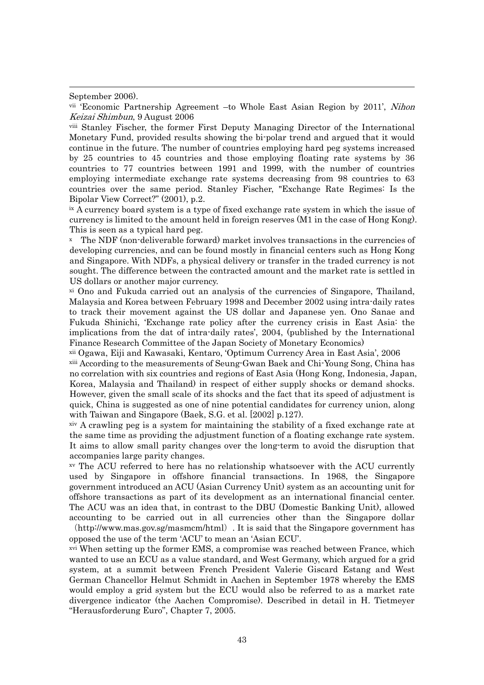September 2006).

-

vii 'Economic Partnership Agreement –to Whole East Asian Region by 2011', Nihon Keizai Shimbun, 9 August 2006

viii Stanley Fischer, the former First Deputy Managing Director of the International Monetary Fund, provided results showing the bi-polar trend and argued that it would continue in the future. The number of countries employing hard peg systems increased by 25 countries to 45 countries and those employing floating rate systems by 36 countries to 77 countries between 1991 and 1999, with the number of countries employing intermediate exchange rate systems decreasing from 98 countries to 63 countries over the same period. Stanley Fischer, "Exchange Rate Regimes: Is the Bipolar View Correct?" (2001), p.2.

ix A currency board system is a type of fixed exchange rate system in which the issue of currency is limited to the amount held in foreign reserves (M1 in the case of Hong Kong). This is seen as a typical hard peg.

x The NDF (non-deliverable forward) market involves transactions in the currencies of developing currencies, and can be found mostly in financial centers such as Hong Kong and Singapore. With NDFs, a physical delivery or transfer in the traded currency is not sought. The difference between the contracted amount and the market rate is settled in US dollars or another major currency.

xi Ono and Fukuda carried out an analysis of the currencies of Singapore, Thailand, Malaysia and Korea between February 1998 and December 2002 using intra-daily rates to track their movement against the US dollar and Japanese yen. Ono Sanae and Fukuda Shinichi, 'Exchange rate policy after the currency crisis in East Asia: the implications from the dat of intra-daily rates', 2004, (published by the International Finance Research Committee of the Japan Society of Monetary Economics)

xii Ogawa, Eiji and Kawasaki, Kentaro, 'Optimum Currency Area in East Asia', 2006 xiii According to the measurements of Seung-Gwan Baek and Chi-Young Song, China has no correlation with six countries and regions of East Asia (Hong Kong, Indonesia, Japan, Korea, Malaysia and Thailand) in respect of either supply shocks or demand shocks. However, given the small scale of its shocks and the fact that its speed of adjustment is quick, China is suggested as one of nine potential candidates for currency union, along with Taiwan and Singapore (Baek, S.G. et al. [2002] p.127).

xiv A crawling peg is a system for maintaining the stability of a fixed exchange rate at the same time as providing the adjustment function of a floating exchange rate system. It aims to allow small parity changes over the long-term to avoid the disruption that accompanies large parity changes.

xv The ACU referred to here has no relationship whatsoever with the ACU currently used by Singapore in offshore financial transactions. In 1968, the Singapore government introduced an ACU (Asian Currency Unit) system as an accounting unit for offshore transactions as part of its development as an international financial center. The ACU was an idea that, in contrast to the DBU (Domestic Banking Unit), allowed accounting to be carried out in all currencies other than the Singapore dollar

(http://www.mas.gov.sg/masmcm/html). It is said that the Singapore government has opposed the use of the term 'ACU' to mean an 'Asian ECU'.

xvi When setting up the former EMS, a compromise was reached between France, which wanted to use an ECU as a value standard, and West Germany, which argued for a grid system, at a summit between French President Valerie Giscard Estang and West German Chancellor Helmut Schmidt in Aachen in September 1978 whereby the EMS would employ a grid system but the ECU would also be referred to as a market rate divergence indicator (the Aachen Compromise). Described in detail in H. Tietmeyer "Herausforderung Euro", Chapter 7, 2005.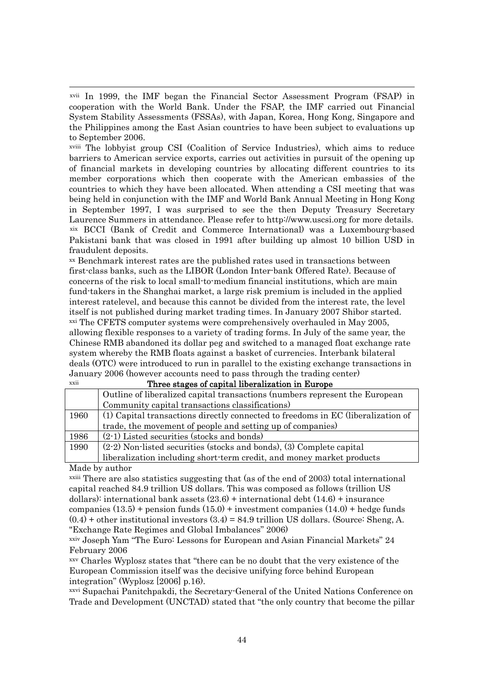xvii In 1999, the IMF began the Financial Sector Assessment Program (FSAP) in cooperation with the World Bank. Under the FSAP, the IMF carried out Financial System Stability Assessments (FSSAs), with Japan, Korea, Hong Kong, Singapore and the Philippines among the East Asian countries to have been subject to evaluations up to September 2006.

xviii The lobbyist group CSI (Coalition of Service Industries), which aims to reduce barriers to American service exports, carries out activities in pursuit of the opening up of financial markets in developing countries by allocating different countries to its member corporations which then cooperate with the American embassies of the countries to which they have been allocated. When attending a CSI meeting that was being held in conjunction with the IMF and World Bank Annual Meeting in Hong Kong in September 1997, I was surprised to see the then Deputy Treasury Secretary Laurence Summers in attendance. Please refer to http://www.uscsi.org for more details. xix BCCI (Bank of Credit and Commerce International) was a Luxembourg-based Pakistani bank that was closed in 1991 after building up almost 10 billion USD in fraudulent deposits.

xx Benchmark interest rates are the published rates used in transactions between first-class banks, such as the LIBOR (London Inter-bank Offered Rate). Because of concerns of the risk to local small-to-medium financial institutions, which are main fund-takers in the Shanghai market, a large risk premium is included in the applied interest ratelevel, and because this cannot be divided from the interest rate, the level itself is not published during market trading times. In January 2007 Shibor started. xxi The CFETS computer systems were comprehensively overhauled in May 2005, allowing flexible responses to a variety of trading forms. In July of the same year, the Chinese RMB abandoned its dollar peg and switched to a managed float exchange rate system whereby the RMB floats against a basket of currencies. Interbank bilateral deals (OTC) were introduced to run in parallel to the existing exchange transactions in January 2006 (however accounts need to pass through the trading center)

| xxii | Three stages of capital liberalization in Europe                                 |
|------|----------------------------------------------------------------------------------|
|      | Outline of liberalized capital transactions (numbers represent the European      |
|      | Community capital transactions classifications)                                  |
| 1960 | (1) Capital transactions directly connected to freedoms in EC (liberalization of |
|      | trade, the movement of people and setting up of companies)                       |
| 1986 | $(2-1)$ Listed securities (stocks and bonds)                                     |
| 1990 | $(2-2)$ Non-listed securities (stocks and bonds), (3) Complete capital           |
|      | liberalization including short-term credit, and money market products            |

Made by author

-

xxiii There are also statistics suggesting that (as of the end of 2003) total international capital reached 84.9 trillion US dollars. This was composed as follows (trillion US dollars): international bank assets  $(23.6)$  + international debt  $(14.6)$  + insurance companies  $(13.5)$  + pension funds  $(15.0)$  + investment companies  $(14.0)$  + hedge funds  $(0.4)$  + other institutional investors  $(3.4)$  = 84.9 trillion US dollars. (Source: Sheng, A. "Exchange Rate Regimes and Global Imbalances" 2006)

xxiv Joseph Yam "The Euro: Lessons for European and Asian Financial Markets" 24 February 2006

xxv Charles Wyplosz states that "there can be no doubt that the very existence of the European Commission itself was the decisive unifying force behind European integration" (Wyplosz [2006] p.16).

xxvi Supachai Panitchpakdi, the Secretary-General of the United Nations Conference on Trade and Development (UNCTAD) stated that "the only country that become the pillar